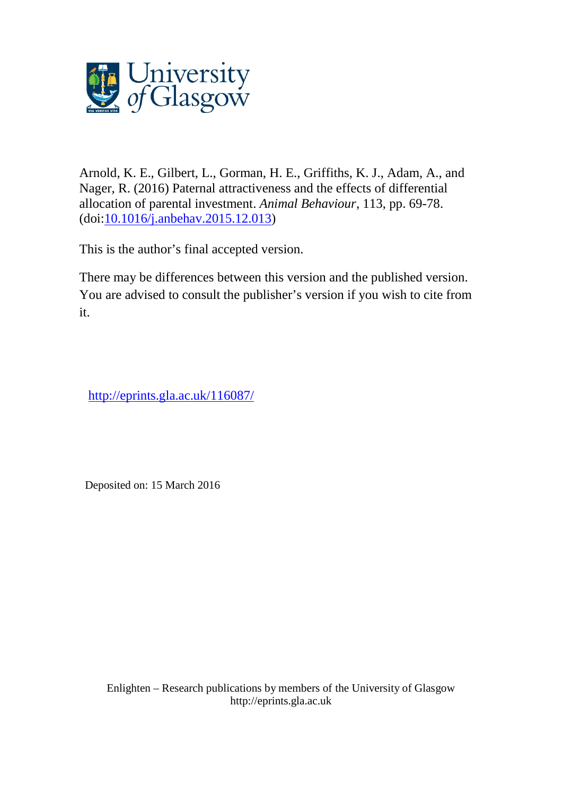

Arnold, K. E., Gilbert, L., Gorman, H. E., Griffiths, K. J., Adam, A., and Nager, R. (2016) Paternal attractiveness and the effects of differential allocation of parental investment. *Animal Behaviour*, 113, pp. 69-78. (doi[:10.1016/j.anbehav.2015.12.013\)](http://dx.doi.org/10.1016/j.anbehav.2015.12.013)

This is the author's final accepted version.

There may be differences between this version and the published version. You are advised to consult the publisher's version if you wish to cite from it.

<http://eprints.gla.ac.uk/116087/>

Deposited on: 15 March 2016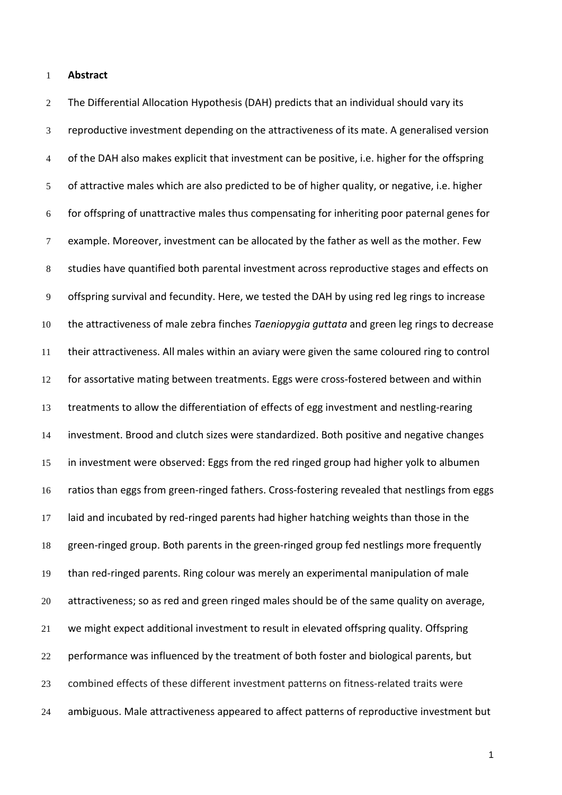**Abstract**

 The Differential Allocation Hypothesis (DAH) predicts that an individual should vary its reproductive investment depending on the attractiveness of its mate. A generalised version 4 of the DAH also makes explicit that investment can be positive, i.e. higher for the offspring of attractive males which are also predicted to be of higher quality, or negative, i.e. higher for offspring of unattractive males thus compensating for inheriting poor paternal genes for example. Moreover, investment can be allocated by the father as well as the mother. Few studies have quantified both parental investment across reproductive stages and effects on offspring survival and fecundity. Here, we tested the DAH by using red leg rings to increase the attractiveness of male zebra finches *Taeniopygia guttata* and green leg rings to decrease their attractiveness. All males within an aviary were given the same coloured ring to control for assortative mating between treatments. Eggs were cross-fostered between and within treatments to allow the differentiation of effects of egg investment and nestling-rearing investment. Brood and clutch sizes were standardized. Both positive and negative changes in investment were observed: Eggs from the red ringed group had higher yolk to albumen ratios than eggs from green-ringed fathers. Cross-fostering revealed that nestlings from eggs laid and incubated by red-ringed parents had higher hatching weights than those in the green-ringed group. Both parents in the green-ringed group fed nestlings more frequently than red-ringed parents. Ring colour was merely an experimental manipulation of male attractiveness; so as red and green ringed males should be of the same quality on average, we might expect additional investment to result in elevated offspring quality. Offspring performance was influenced by the treatment of both foster and biological parents, but combined effects of these different investment patterns on fitness-related traits were ambiguous. Male attractiveness appeared to affect patterns of reproductive investment but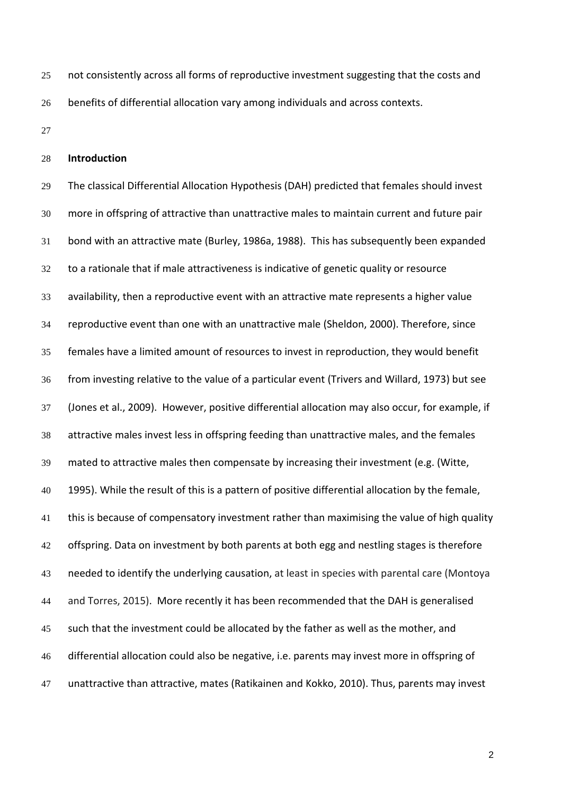- 25 not consistently across all forms of reproductive investment suggesting that the costs and benefits of differential allocation vary among individuals and across contexts.
- 

### **Introduction**

 The classical Differential Allocation Hypothesis (DAH) predicted that females should invest more in offspring of attractive than unattractive males to maintain current and future pair bond with an attractive mate [\(Burley, 1986a,](#page-27-0) [1988\)](#page-27-1). This has subsequently been expanded to a rationale that if male attractiveness is indicative of genetic quality or resource availability, then a reproductive event with an attractive mate represents a higher value reproductive event than one with an unattractive male [\(Sheldon, 2000\)](#page-28-0). Therefore, since females have a limited amount of resources to invest in reproduction, they would benefit from investing relative to the value of a particular event [\(Trivers and Willard, 1973\)](#page-29-0) but see [\(Jones et al., 2009\)](#page-28-1). However, positive differential allocation may also occur, for example, if attractive males invest less in offspring feeding than unattractive males, and the females mated to attractive males then compensate by increasing their investment (e.g. [\(Witte,](#page-29-1)  [1995\)](#page-29-1). While the result of this is a pattern of positive differential allocation by the female, 41 this is because of compensatory investment rather than maximising the value of high quality 42 offspring. Data on investment by both parents at both egg and nestling stages is therefore needed to identify the underlying causation, at least in species with parental care [\(Montoya](#page-28-2)  [and Torres, 2015\)](#page-28-2). More recently it has been recommended that the DAH is generalised such that the investment could be allocated by the father as well as the mother, and differential allocation could also be negative, i.e. parents may invest more in offspring of unattractive than attractive, mates [\(Ratikainen and Kokko, 2010\)](#page-28-3). Thus, parents may invest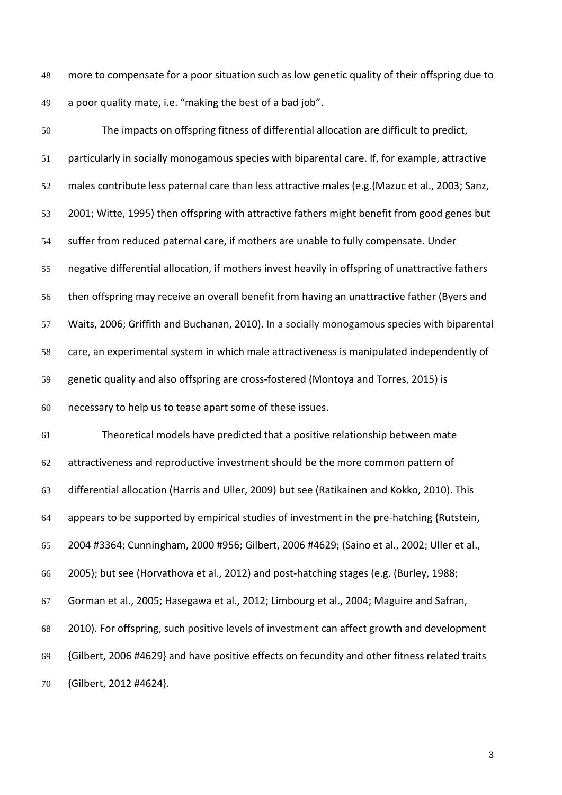more to compensate for a poor situation such as low genetic quality of their offspring due to a poor quality mate, i.e. "making the best of a bad job".

 The impacts on offspring fitness of differential allocation are difficult to predict, particularly in socially monogamous species with biparental care. If, for example, attractive males contribute less paternal care than less attractive males (e.g.[\(Mazuc et al., 2003;](#page-28-4) [Sanz,](#page-28-5)  [2001;](#page-28-5) [Witte, 1995\)](#page-29-1) then offspring with attractive fathers might benefit from good genes but suffer from reduced paternal care, if mothers are unable to fully compensate. Under negative differential allocation, if mothers invest heavily in offspring of unattractive fathers then offspring may receive an overall benefit from having an unattractive father [\(Byers and](#page-27-2)  [Waits, 2006;](#page-27-2) [Griffith and Buchanan, 2010\)](#page-27-3). In a socially monogamous species with biparental care, an experimental system in which male attractiveness is manipulated independently of genetic quality and also offspring are cross-fostered [\(Montoya and Torres, 2015\)](#page-28-2) is necessary to help us to tease apart some of these issues.

 Theoretical models have predicted that a positive relationship between mate attractiveness and reproductive investment should be the more common pattern of differential allocation [\(Harris and Uller, 2009\)](#page-27-4) but see [\(Ratikainen and Kokko, 2010\)](#page-28-3). This appears to be supported by empirical studies of investment in the pre-hatching {Rutstein, 2004 #3364; Cunningham, 2000 #956; Gilbert, 2006 #4629; [\(Saino et al., 2002;](#page-28-6) [Uller et al.,](#page-29-2)  [2005\)](#page-29-2); but see [\(Horvathova et al., 2012\)](#page-27-5) and post-hatching stages (e.g. [\(Burley, 1988;](#page-27-1) [Gorman et al., 2005;](#page-27-6) [Hasegawa et al., 2012;](#page-27-7) [Limbourg et al., 2004;](#page-28-7) [Maguire and Safran,](#page-28-8)  [2010\)](#page-28-8). For offspring, such positive levels of investment can affect growth and development {Gilbert, 2006 #4629} and have positive effects on fecundity and other fitness related traits {Gilbert, 2012 #4624}.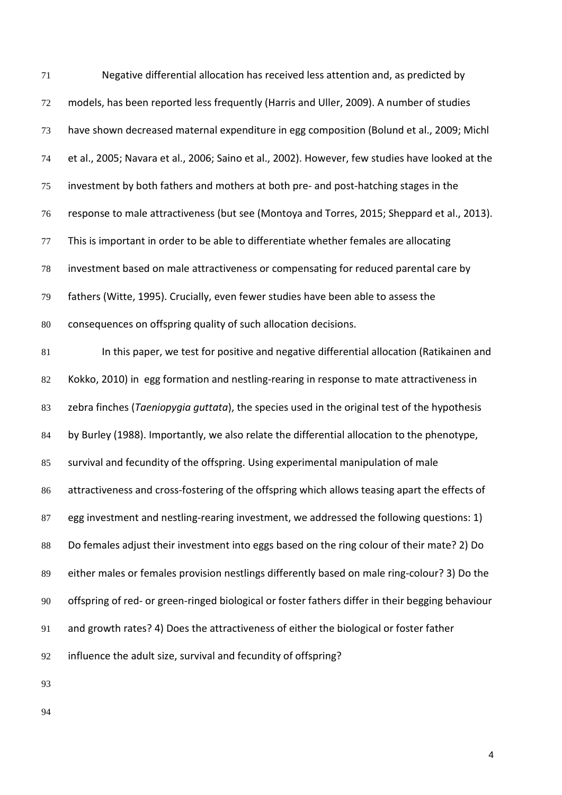| 71 | Negative differential allocation has received less attention and, as predicted by                |
|----|--------------------------------------------------------------------------------------------------|
| 72 | models, has been reported less frequently (Harris and Uller, 2009). A number of studies          |
| 73 | have shown decreased maternal expenditure in egg composition (Bolund et al., 2009; Michl         |
| 74 | et al., 2005; Navara et al., 2006; Saino et al., 2002). However, few studies have looked at the  |
| 75 | investment by both fathers and mothers at both pre- and post-hatching stages in the              |
| 76 | response to male attractiveness (but see (Montoya and Torres, 2015; Sheppard et al., 2013).      |
| 77 | This is important in order to be able to differentiate whether females are allocating            |
| 78 | investment based on male attractiveness or compensating for reduced parental care by             |
| 79 | fathers (Witte, 1995). Crucially, even fewer studies have been able to assess the                |
| 80 | consequences on offspring quality of such allocation decisions.                                  |
| 81 | In this paper, we test for positive and negative differential allocation (Ratikainen and         |
| 82 | Kokko, 2010) in egg formation and nestling-rearing in response to mate attractiveness in         |
| 83 | zebra finches (Taeniopygia guttata), the species used in the original test of the hypothesis     |
| 84 | by Burley (1988). Importantly, we also relate the differential allocation to the phenotype,      |
| 85 | survival and fecundity of the offspring. Using experimental manipulation of male                 |
| 86 | attractiveness and cross-fostering of the offspring which allows teasing apart the effects of    |
| 87 | egg investment and nestling-rearing investment, we addressed the following questions: 1)         |
| 88 | Do females adjust their investment into eggs based on the ring colour of their mate? 2) Do       |
| 89 | either males or females provision nestlings differently based on male ring-colour? 3) Do the     |
| 90 | offspring of red- or green-ringed biological or foster fathers differ in their begging behaviour |
| 91 | and growth rates? 4) Does the attractiveness of either the biological or foster father           |
| 92 | influence the adult size, survival and fecundity of offspring?                                   |
| 93 |                                                                                                  |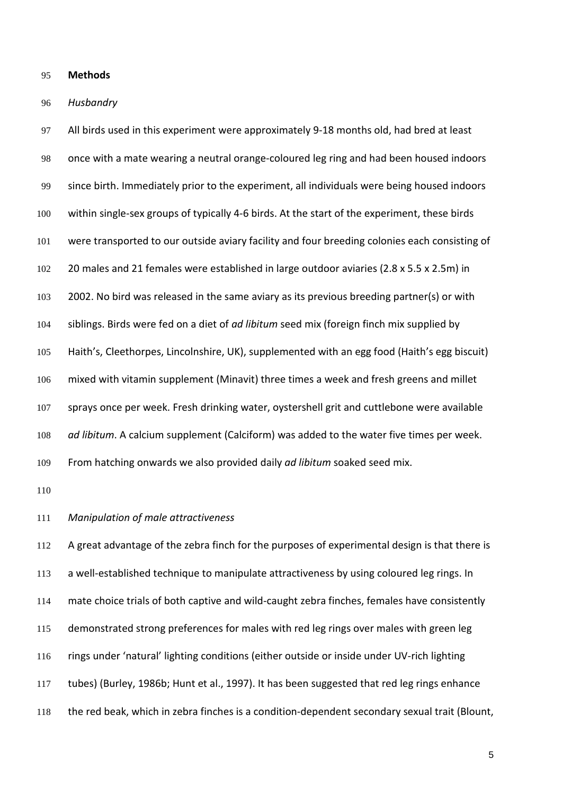## **Methods**

## *Husbandry*

 All birds used in this experiment were approximately 9-18 months old, had bred at least once with a mate wearing a neutral orange-coloured leg ring and had been housed indoors since birth. Immediately prior to the experiment, all individuals were being housed indoors within single-sex groups of typically 4-6 birds. At the start of the experiment, these birds were transported to our outside aviary facility and four breeding colonies each consisting of 20 males and 21 females were established in large outdoor aviaries (2.8 x 5.5 x 2.5m) in 2002. No bird was released in the same aviary as its previous breeding partner(s) or with siblings. Birds were fed on a diet of *ad libitum* seed mix (foreign finch mix supplied by Haith's, Cleethorpes, Lincolnshire, UK), supplemented with an egg food (Haith's egg biscuit) mixed with vitamin supplement (Minavit) three times a week and fresh greens and millet sprays once per week. Fresh drinking water, oystershell grit and cuttlebone were available *ad libitum*. A calcium supplement (Calciform) was added to the water five times per week. From hatching onwards we also provided daily *ad libitum* soaked seed mix.

### *Manipulation of male attractiveness*

 A great advantage of the zebra finch for the purposes of experimental design is that there is 113 a well-established technique to manipulate attractiveness by using coloured leg rings. In mate choice trials of both captive and wild-caught zebra finches, females have consistently demonstrated strong preferences for males with red leg rings over males with green leg rings under 'natural' lighting conditions (either outside or inside under UV-rich lighting tubes) [\(Burley, 1986b;](#page-27-9) [Hunt et al., 1997\)](#page-27-10). It has been suggested that red leg rings enhance the red beak, which in zebra finches is a condition-dependent secondary sexual trait [\(Blount,](#page-26-0)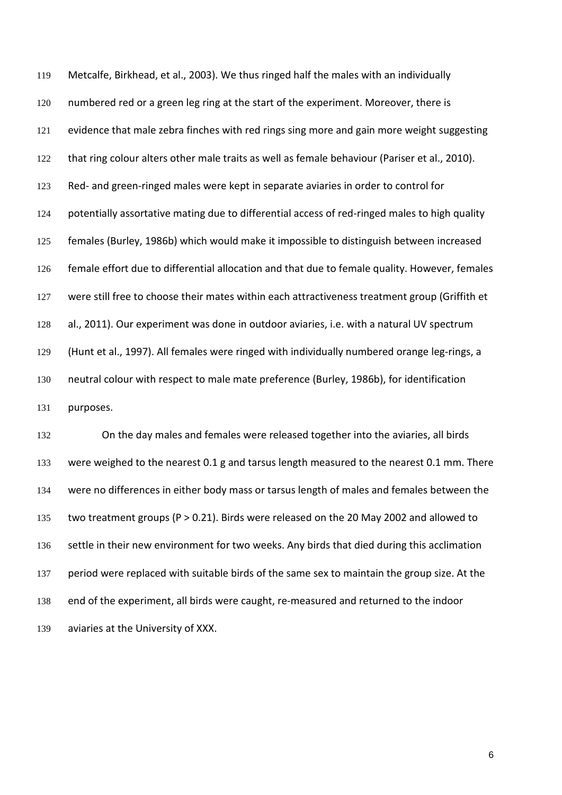[Metcalfe, Birkhead, et al., 2003\)](#page-26-0). We thus ringed half the males with an individually numbered red or a green leg ring at the start of the experiment. Moreover, there is evidence that male zebra finches with red rings sing more and gain more weight suggesting that ring colour alters other male traits as well as female behaviour [\(Pariser et al., 2010\)](#page-28-11). Red- and green-ringed males were kept in separate aviaries in order to control for potentially assortative mating due to differential access of red-ringed males to high quality females [\(Burley, 1986b\)](#page-27-9) which would make it impossible to distinguish between increased female effort due to differential allocation and that due to female quality. However, females 127 were still free to choose their mates within each attractiveness treatment group (Griffith et [al., 2011\)](#page-27-11). Our experiment was done in outdoor aviaries, i.e. with a natural UV spectrum [\(Hunt et al., 1997\)](#page-27-10). All females were ringed with individually numbered orange leg-rings, a neutral colour with respect to male mate preference [\(Burley, 1986b\)](#page-27-9), for identification purposes.

 On the day males and females were released together into the aviaries, all birds 133 were weighed to the nearest 0.1 g and tarsus length measured to the nearest 0.1 mm. There were no differences in either body mass or tarsus length of males and females between the two treatment groups (P > 0.21). Birds were released on the 20 May 2002 and allowed to 136 settle in their new environment for two weeks. Any birds that died during this acclimation 137 period were replaced with suitable birds of the same sex to maintain the group size. At the end of the experiment, all birds were caught, re-measured and returned to the indoor aviaries at the University of XXX.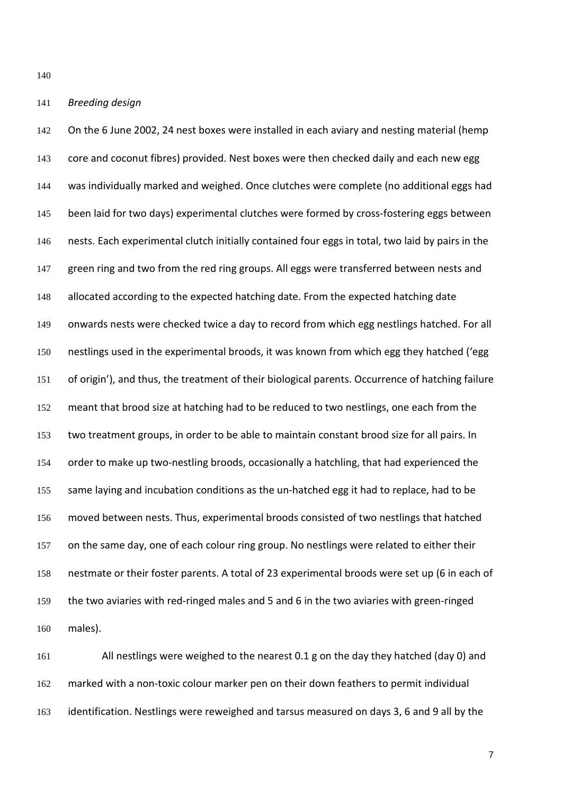### *Breeding design*

142 On the 6 June 2002, 24 nest boxes were installed in each aviary and nesting material (hemp 143 core and coconut fibres) provided. Nest boxes were then checked daily and each new egg was individually marked and weighed. Once clutches were complete (no additional eggs had 145 been laid for two days) experimental clutches were formed by cross-fostering eggs between nests. Each experimental clutch initially contained four eggs in total, two laid by pairs in the 147 green ring and two from the red ring groups. All eggs were transferred between nests and 148 allocated according to the expected hatching date. From the expected hatching date onwards nests were checked twice a day to record from which egg nestlings hatched. For all nestlings used in the experimental broods, it was known from which egg they hatched ('egg of origin'), and thus, the treatment of their biological parents. Occurrence of hatching failure meant that brood size at hatching had to be reduced to two nestlings, one each from the two treatment groups, in order to be able to maintain constant brood size for all pairs. In order to make up two-nestling broods, occasionally a hatchling, that had experienced the 155 same laying and incubation conditions as the un-hatched egg it had to replace, had to be moved between nests. Thus, experimental broods consisted of two nestlings that hatched 157 on the same day, one of each colour ring group. No nestlings were related to either their nestmate or their foster parents. A total of 23 experimental broods were set up (6 in each of the two aviaries with red-ringed males and 5 and 6 in the two aviaries with green-ringed males).

 All nestlings were weighed to the nearest 0.1 g on the day they hatched (day 0) and marked with a non-toxic colour marker pen on their down feathers to permit individual identification. Nestlings were reweighed and tarsus measured on days 3, 6 and 9 all by the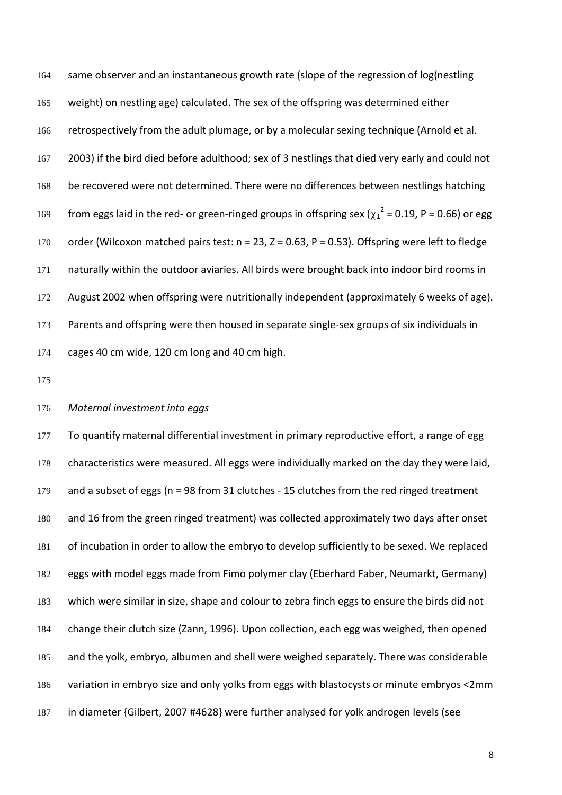164 same observer and an instantaneous growth rate (slope of the regression of log(nestling weight) on nestling age) calculated. The sex of the offspring was determined either retrospectively from the adult plumage, or by a molecular sexing technique (Arnold et al. 2003) if the bird died before adulthood; sex of 3 nestlings that died very early and could not 168 be recovered were not determined. There were no differences between nestlings hatching 169 from eggs laid in the red- or green-ringed groups in offspring sex ( $\chi_1^2$  = 0.19, P = 0.66) or egg order (Wilcoxon matched pairs test: n = 23, Z = 0.63, P = 0.53). Offspring were left to fledge naturally within the outdoor aviaries. All birds were brought back into indoor bird rooms in August 2002 when offspring were nutritionally independent (approximately 6 weeks of age). 173 Parents and offspring were then housed in separate single-sex groups of six individuals in cages 40 cm wide, 120 cm long and 40 cm high.

## *Maternal investment into eggs*

177 To quantify maternal differential investment in primary reproductive effort, a range of egg characteristics were measured. All eggs were individually marked on the day they were laid, and a subset of eggs (n = 98 from 31 clutches - 15 clutches from the red ringed treatment and 16 from the green ringed treatment) was collected approximately two days after onset of incubation in order to allow the embryo to develop sufficiently to be sexed. We replaced eggs with model eggs made from Fimo polymer clay (Eberhard Faber, Neumarkt, Germany) which were similar in size, shape and colour to zebra finch eggs to ensure the birds did not change their clutch size [\(Zann, 1996\)](#page-29-4). Upon collection, each egg was weighed, then opened and the yolk, embryo, albumen and shell were weighed separately. There was considerable variation in embryo size and only yolks from eggs with blastocysts or minute embryos <2mm in diameter {Gilbert, 2007 #4628} were further analysed for yolk androgen levels (see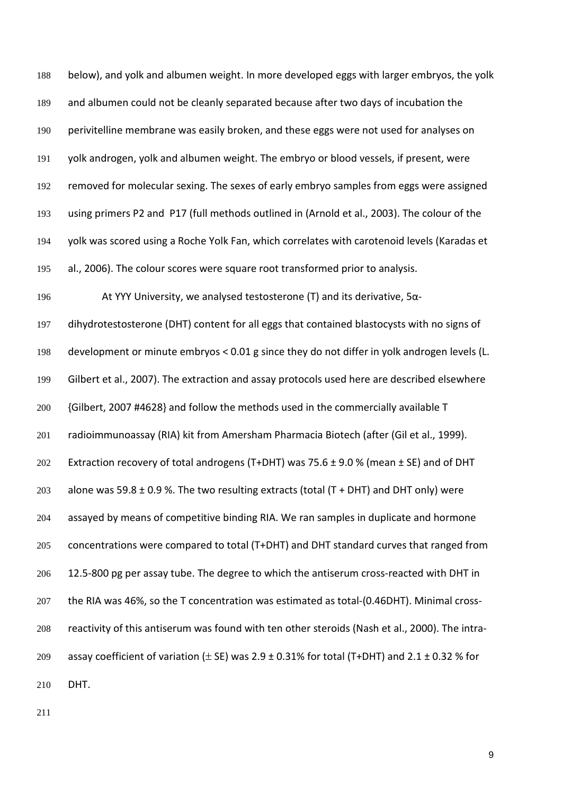below), and yolk and albumen weight. In more developed eggs with larger embryos, the yolk and albumen could not be cleanly separated because after two days of incubation the perivitelline membrane was easily broken, and these eggs were not used for analyses on yolk androgen, yolk and albumen weight. The embryo or blood vessels, if present, were removed for molecular sexing. The sexes of early embryo samples from eggs were assigned using primers P2 and P17 (full methods outlined in [\(Arnold et al., 2003\)](#page-26-1). The colour of the yolk was scored using a Roche Yolk Fan, which correlates with carotenoid levels [\(Karadas et](#page-28-12)  [al., 2006\)](#page-28-12). The colour scores were square root transformed prior to analysis. At YYY University, we analysed testosterone (T) and its derivative, 5α- dihydrotestosterone (DHT) content for all eggs that contained blastocysts with no signs of development or minute embryos < 0.01 g since they do not differ in yolk androgen levels [\(L.](#page-27-12)  [Gilbert et al., 2007\)](#page-27-12). The extraction and assay protocols used here are described elsewhere {Gilbert, 2007 #4628} and follow the methods used in the commercially available T radioimmunoassay (RIA) kit from Amersham Pharmacia Biotech (after [\(Gil et al., 1999\)](#page-27-13). 202 Extraction recovery of total androgens (T+DHT) was 75.6  $\pm$  9.0 % (mean  $\pm$  SE) and of DHT 203 alone was 59.8  $\pm$  0.9 %. The two resulting extracts (total (T + DHT) and DHT only) were assayed by means of competitive binding RIA. We ran samples in duplicate and hormone concentrations were compared to total (T+DHT) and DHT standard curves that ranged from 12.5-800 pg per assay tube. The degree to which the antiserum cross-reacted with DHT in the RIA was 46%, so the T concentration was estimated as total-(0.46DHT). Minimal cross- reactivity of this antiserum was found with ten other steroids [\(Nash et al., 2000\)](#page-28-13). The intra-209 assay coefficient of variation  $(\pm$  SE) was 2.9  $\pm$  0.31% for total (T+DHT) and 2.1  $\pm$  0.32 % for DHT.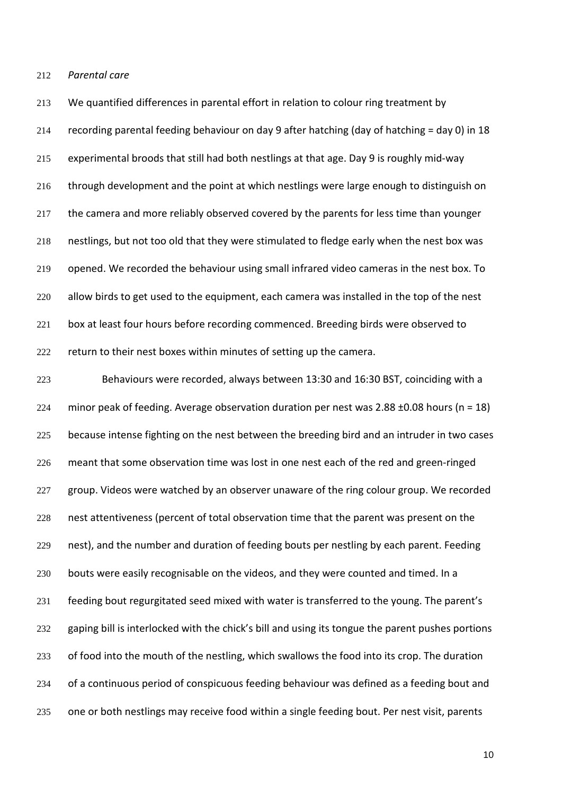212 *Parental care* 

 We quantified differences in parental effort in relation to colour ring treatment by recording parental feeding behaviour on day 9 after hatching (day of hatching = day 0) in 18 experimental broods that still had both nestlings at that age. Day 9 is roughly mid-way 216 through development and the point at which nestlings were large enough to distinguish on the camera and more reliably observed covered by the parents for less time than younger nestlings, but not too old that they were stimulated to fledge early when the nest box was opened. We recorded the behaviour using small infrared video cameras in the nest box. To allow birds to get used to the equipment, each camera was installed in the top of the nest 221 box at least four hours before recording commenced. Breeding birds were observed to return to their nest boxes within minutes of setting up the camera.

223 Behaviours were recorded, always between 13:30 and 16:30 BST, coinciding with a 224 minor peak of feeding. Average observation duration per nest was  $2.88 \pm 0.08$  hours (n = 18) 225 because intense fighting on the nest between the breeding bird and an intruder in two cases 226 meant that some observation time was lost in one nest each of the red and green-ringed 227 group. Videos were watched by an observer unaware of the ring colour group. We recorded 228 nest attentiveness (percent of total observation time that the parent was present on the 229 nest), and the number and duration of feeding bouts per nestling by each parent. Feeding 230 bouts were easily recognisable on the videos, and they were counted and timed. In a 231 feeding bout regurgitated seed mixed with water is transferred to the young. The parent's 232 gaping bill is interlocked with the chick's bill and using its tongue the parent pushes portions 233 of food into the mouth of the nestling, which swallows the food into its crop. The duration 234 of a continuous period of conspicuous feeding behaviour was defined as a feeding bout and 235 one or both nestlings may receive food within a single feeding bout. Per nest visit, parents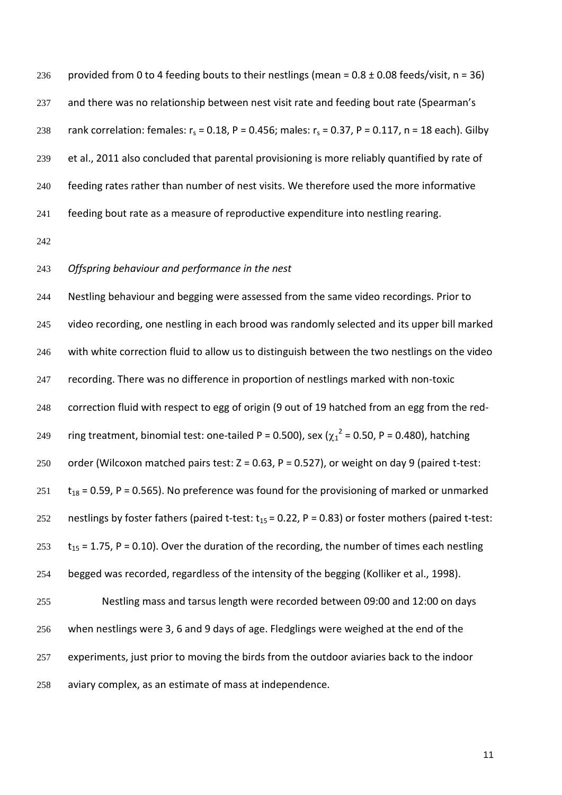236 provided from 0 to 4 feeding bouts to their nestlings (mean =  $0.8 \pm 0.08$  feeds/visit, n = 36) 237 and there was no relationship between nest visit rate and feeding bout rate (Spearman's 238 rank correlation: females:  $r_s = 0.18$ , P = 0.456; males:  $r_s = 0.37$ , P = 0.117, n = 18 each). Gilby et al., 2011 also concluded that parental provisioning is more reliably quantified by rate of feeding rates rather than number of nest visits. We therefore used the more informative feeding bout rate as a measure of reproductive expenditure into nestling rearing.

## *Offspring behaviour and performance in the nest*

 Nestling behaviour and begging were assessed from the same video recordings. Prior to 245 video recording, one nestling in each brood was randomly selected and its upper bill marked with white correction fluid to allow us to distinguish between the two nestlings on the video 247 recording. There was no difference in proportion of nestlings marked with non-toxic correction fluid with respect to egg of origin (9 out of 19 hatched from an egg from the red-249 ring treatment, binomial test: one-tailed P = 0.500), sex ( $\chi_1^2$  = 0.50, P = 0.480), hatching 250 order (Wilcoxon matched pairs test:  $Z = 0.63$ ,  $P = 0.527$ ), or weight on day 9 (paired t-test: t<sub>18</sub> = 0.59, P = 0.565). No preference was found for the provisioning of marked or unmarked 252 nestlings by foster fathers (paired t-test:  $t_{15}$  = 0.22, P = 0.83) or foster mothers (paired t-test:  $t_{15} = 1.75$ , P = 0.10). Over the duration of the recording, the number of times each nestling begged was recorded, regardless of the intensity of the begging [\(Kolliker et al., 1998\)](#page-28-14). Nestling mass and tarsus length were recorded between 09:00 and 12:00 on days when nestlings were 3, 6 and 9 days of age. Fledglings were weighed at the end of the

 experiments, just prior to moving the birds from the outdoor aviaries back to the indoor aviary complex, as an estimate of mass at independence.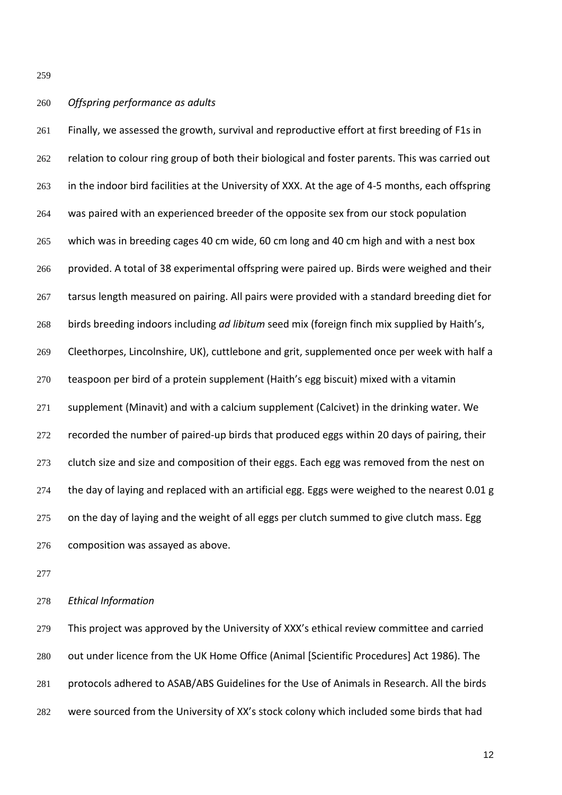# *Offspring performance as adults*

 Finally, we assessed the growth, survival and reproductive effort at first breeding of F1s in 262 relation to colour ring group of both their biological and foster parents. This was carried out 263 in the indoor bird facilities at the University of XXX. At the age of 4-5 months, each offspring was paired with an experienced breeder of the opposite sex from our stock population which was in breeding cages 40 cm wide, 60 cm long and 40 cm high and with a nest box provided. A total of 38 experimental offspring were paired up. Birds were weighed and their tarsus length measured on pairing. All pairs were provided with a standard breeding diet for birds breeding indoors including *ad libitum* seed mix (foreign finch mix supplied by Haith's, Cleethorpes, Lincolnshire, UK), cuttlebone and grit, supplemented once per week with half a teaspoon per bird of a protein supplement (Haith's egg biscuit) mixed with a vitamin supplement (Minavit) and with a calcium supplement (Calcivet) in the drinking water. We 272 recorded the number of paired-up birds that produced eggs within 20 days of pairing, their 273 clutch size and size and composition of their eggs. Each egg was removed from the nest on 274 the day of laying and replaced with an artificial egg. Eggs were weighed to the nearest 0.01 g 275 on the day of laying and the weight of all eggs per clutch summed to give clutch mass. Egg composition was assayed as above.

*Ethical Information*

 This project was approved by the University of XXX's ethical review committee and carried out under licence from the UK Home Office (Animal [Scientific Procedures] Act 1986). The protocols adhered to ASAB/ABS Guidelines for the Use of Animals in Research. All the birds were sourced from the University of XX's stock colony which included some birds that had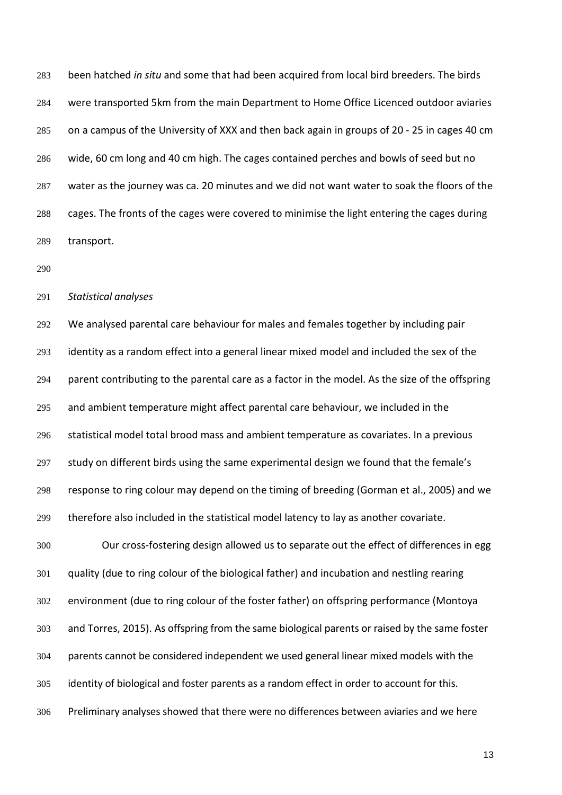been hatched *in situ* and some that had been acquired from local bird breeders. The birds were transported 5km from the main Department to Home Office Licenced outdoor aviaries on a campus of the University of XXX and then back again in groups of 20 - 25 in cages 40 cm wide, 60 cm long and 40 cm high. The cages contained perches and bowls of seed but no water as the journey was ca. 20 minutes and we did not want water to soak the floors of the cages. The fronts of the cages were covered to minimise the light entering the cages during transport.

*Statistical analyses*

 We analysed parental care behaviour for males and females together by including pair identity as a random effect into a general linear mixed model and included the sex of the 294 parent contributing to the parental care as a factor in the model. As the size of the offspring and ambient temperature might affect parental care behaviour, we included in the statistical model total brood mass and ambient temperature as covariates. In a previous study on different birds using the same experimental design we found that the female's response to ring colour may depend on the timing of breeding [\(Gorman et al., 2005\)](#page-27-6) and we therefore also included in the statistical model latency to lay as another covariate.

 Our cross-fostering design allowed us to separate out the effect of differences in egg quality (due to ring colour of the biological father) and incubation and nestling rearing environment (due to ring colour of the foster father) on offspring performance [\(Montoya](#page-28-2)  [and Torres, 2015\)](#page-28-2). As offspring from the same biological parents or raised by the same foster parents cannot be considered independent we used general linear mixed models with the identity of biological and foster parents as a random effect in order to account for this. Preliminary analyses showed that there were no differences between aviaries and we here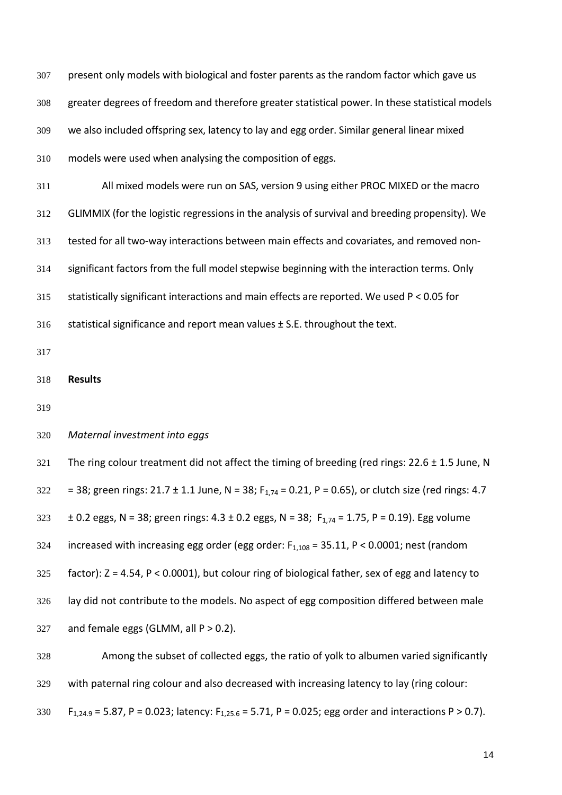307 present only models with biological and foster parents as the random factor which gave us greater degrees of freedom and therefore greater statistical power. In these statistical models we also included offspring sex, latency to lay and egg order. Similar general linear mixed models were used when analysing the composition of eggs. All mixed models were run on SAS, version 9 using either PROC MIXED or the macro GLIMMIX (for the logistic regressions in the analysis of survival and breeding propensity). We tested for all two-way interactions between main effects and covariates, and removed non- significant factors from the full model stepwise beginning with the interaction terms. Only statistically significant interactions and main effects are reported. We used P < 0.05 for 316 statistical significance and report mean values ± S.E. throughout the text. **Results** *Maternal investment into eggs* 321 The ring colour treatment did not affect the timing of breeding (red rings:  $22.6 \pm 1.5$  June, N 322 = 38; green rings:  $21.7 \pm 1.1$  June, N = 38; F<sub>1.74</sub> = 0.21, P = 0.65), or clutch size (red rings: 4.7 323  $\pm$  0.2 eggs, N = 38; green rings: 4.3  $\pm$  0.2 eggs, N = 38; F<sub>1,74</sub> = 1.75, P = 0.19). Egg volume 324 increased with increasing egg order (egg order:  $F_{1,108} = 35.11$ , P < 0.0001; nest (random factor): Z = 4.54, P < 0.0001), but colour ring of biological father, sex of egg and latency to 326 lay did not contribute to the models. No aspect of egg composition differed between male 327 and female eggs (GLMM, all  $P > 0.2$ ). Among the subset of collected eggs, the ratio of yolk to albumen varied significantly

with paternal ring colour and also decreased with increasing latency to lay (ring colour:

330 F<sub>1,24.9</sub> = 5.87, P = 0.023; latency: F<sub>1,25.6</sub> = 5.71, P = 0.025; egg order and interactions P > 0.7).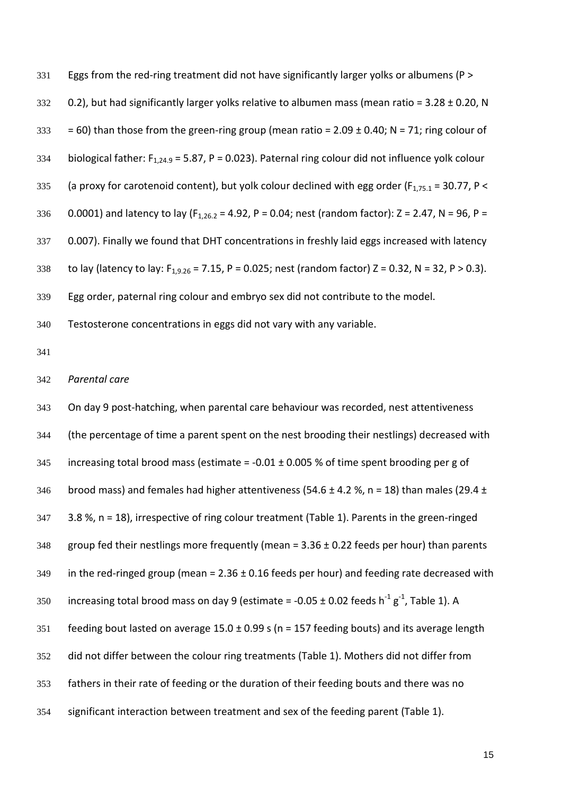331 Eggs from the red-ring treatment did not have significantly larger yolks or albumens (P > 332 0.2), but had significantly larger yolks relative to albumen mass (mean ratio =  $3.28 \pm 0.20$ , N 333 = 60) than those from the green-ring group (mean ratio =  $2.09 \pm 0.40$ ; N = 71; ring colour of 334 biological father:  $F_{1,24.9} = 5.87$ , P = 0.023). Paternal ring colour did not influence yolk colour 335 (a proxy for carotenoid content), but yolk colour declined with egg order ( $F_{1,75.1}$  = 30.77, P < 336 0.0001) and latency to lay ( $F_{1,26.2}$  = 4.92, P = 0.04; nest (random factor): Z = 2.47, N = 96, P = 337 0.007). Finally we found that DHT concentrations in freshly laid eggs increased with latency 338 to lay (latency to lay:  $F_{1,9.26} = 7.15$ , P = 0.025; nest (random factor) Z = 0.32, N = 32, P > 0.3). 339 Egg order, paternal ring colour and embryo sex did not contribute to the model. 340 Testosterone concentrations in eggs did not vary with any variable. 341 342 *Parental care*  343 On day 9 post-hatching, when parental care behaviour was recorded, nest attentiveness 344 (the percentage of time a parent spent on the nest brooding their nestlings) decreased with 345 increasing total brood mass (estimate =  $-0.01 \pm 0.005$  % of time spent brooding per g of 346 brood mass) and females had higher attentiveness (54.6  $\pm$  4.2 %, n = 18) than males (29.4  $\pm$ 347 3.8 %, n = 18), irrespective of ring colour treatment (Table 1). Parents in the green-ringed 348 group fed their nestlings more frequently (mean =  $3.36 \pm 0.22$  feeds per hour) than parents 349 in the red-ringed group (mean =  $2.36 \pm 0.16$  feeds per hour) and feeding rate decreased with 350 increasing total brood mass on day 9 (estimate = -0.05  $\pm$  0.02 feeds h<sup>-1</sup> g<sup>-1</sup>, Table 1). A 351 feeding bout lasted on average  $15.0 \pm 0.99$  s (n = 157 feeding bouts) and its average length 352 did not differ between the colour ring treatments (Table 1). Mothers did not differ from 353 fathers in their rate of feeding or the duration of their feeding bouts and there was no 354 significant interaction between treatment and sex of the feeding parent (Table 1).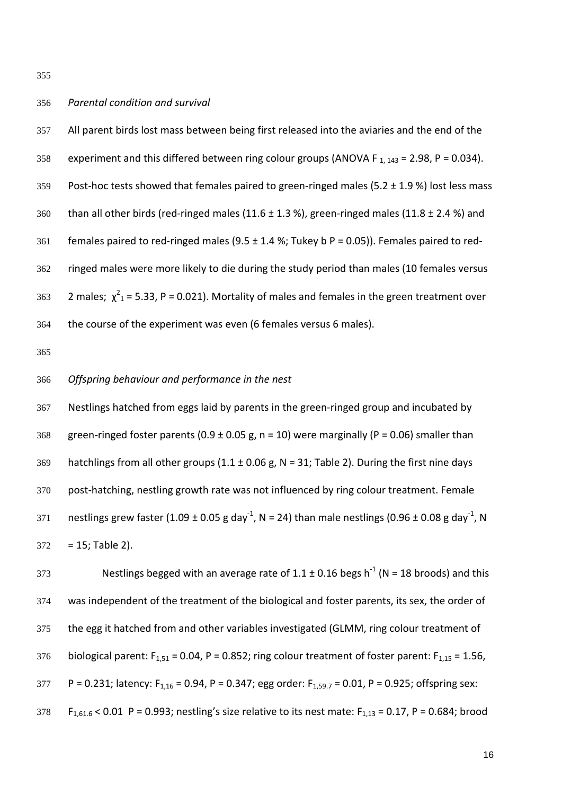355

# 356 *Parental condition and survival*

357 All parent birds lost mass between being first released into the aviaries and the end of the 358 experiment and this differed between ring colour groups (ANOVA F  $_{1.143}$  = 2.98, P = 0.034). 359 Post-hoc tests showed that females paired to green-ringed males (5.2  $\pm$  1.9 %) lost less mass 360 than all other birds (red-ringed males (11.6  $\pm$  1.3 %), green-ringed males (11.8  $\pm$  2.4 %) and 361 females paired to red-ringed males (9.5  $\pm$  1.4 %; Tukey b P = 0.05)). Females paired to red-362 ringed males were more likely to die during the study period than males (10 females versus 363 2 males;  $\chi^2$ <sub>1</sub> = 5.33, P = 0.021). Mortality of males and females in the green treatment over 364 the course of the experiment was even (6 females versus 6 males).

365

## 366 *Offspring behaviour and performance in the nest*

367 Nestlings hatched from eggs laid by parents in the green-ringed group and incubated by 368 green-ringed foster parents (0.9  $\pm$  0.05 g, n = 10) were marginally (P = 0.06) smaller than 369 hatchlings from all other groups  $(1.1 \pm 0.06 \text{ g}, \text{N} = 31; \text{Table 2})$ . During the first nine days 370 post-hatching, nestling growth rate was not influenced by ring colour treatment. Female 371 anestlings grew faster (1.09  $\pm$  0.05 g day<sup>-1</sup>, N = 24) than male nestlings (0.96  $\pm$  0.08 g day<sup>-1</sup>, N  $372 = 15$ ; Table 2).

373 Nestlings begged with an average rate of  $1.1 \pm 0.16$  begs h<sup>-1</sup> (N = 18 broods) and this 374 was independent of the treatment of the biological and foster parents, its sex, the order of 375 the egg it hatched from and other variables investigated (GLMM, ring colour treatment of 376 biological parent:  $F_{1,51}$  = 0.04, P = 0.852; ring colour treatment of foster parent:  $F_{1,15}$  = 1.56, 377 P = 0.231; latency:  $F_{1,16}$  = 0.94, P = 0.347; egg order:  $F_{1,59.7}$  = 0.01, P = 0.925; offspring sex: 378 F<sub>1,61,6</sub> < 0.01 P = 0.993; nestling's size relative to its nest mate: F<sub>1,13</sub> = 0.17, P = 0.684; brood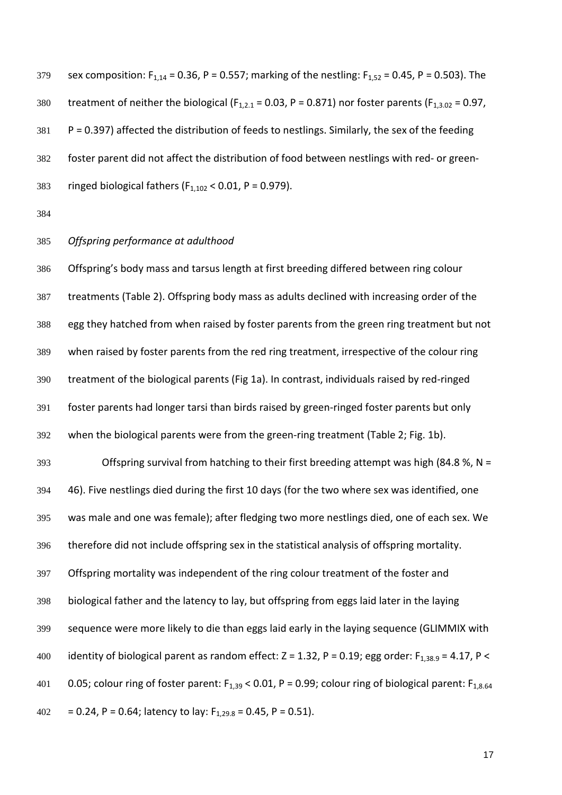379 sex composition:  $F_{1,14} = 0.36$ , P = 0.557; marking of the nestling:  $F_{1,52} = 0.45$ , P = 0.503). The 380 treatment of neither the biological ( $F_{1,2,1}$  = 0.03, P = 0.871) nor foster parents ( $F_{1,3,02}$  = 0.97, P = 0.397) affected the distribution of feeds to nestlings. Similarly, the sex of the feeding foster parent did not affect the distribution of food between nestlings with red- or green-383 ringed biological fathers ( $F_{1,102}$  < 0.01, P = 0.979).

# *Offspring performance at adulthood*

 Offspring's body mass and tarsus length at first breeding differed between ring colour treatments (Table 2). Offspring body mass as adults declined with increasing order of the egg they hatched from when raised by foster parents from the green ring treatment but not when raised by foster parents from the red ring treatment, irrespective of the colour ring treatment of the biological parents (Fig 1a). In contrast, individuals raised by red-ringed foster parents had longer tarsi than birds raised by green-ringed foster parents but only when the biological parents were from the green-ring treatment (Table 2; Fig. 1b). Offspring survival from hatching to their first breeding attempt was high (84.8 %, N = 46). Five nestlings died during the first 10 days (for the two where sex was identified, one was male and one was female); after fledging two more nestlings died, one of each sex. We therefore did not include offspring sex in the statistical analysis of offspring mortality. Offspring mortality was independent of the ring colour treatment of the foster and biological father and the latency to lay, but offspring from eggs laid later in the laying sequence were more likely to die than eggs laid early in the laying sequence (GLIMMIX with 400 identity of biological parent as random effect:  $Z = 1.32$ ,  $P = 0.19$ ; egg order:  $F_{1,38.9} = 4.17$ ,  $P <$ 401 0.05; colour ring of foster parent:  $F_{1,39}$  < 0.01, P = 0.99; colour ring of biological parent:  $F_{1,8.64}$ 

402 = 0.24, P = 0.64; latency to lay:  $F_{1,29.8} = 0.45$ , P = 0.51).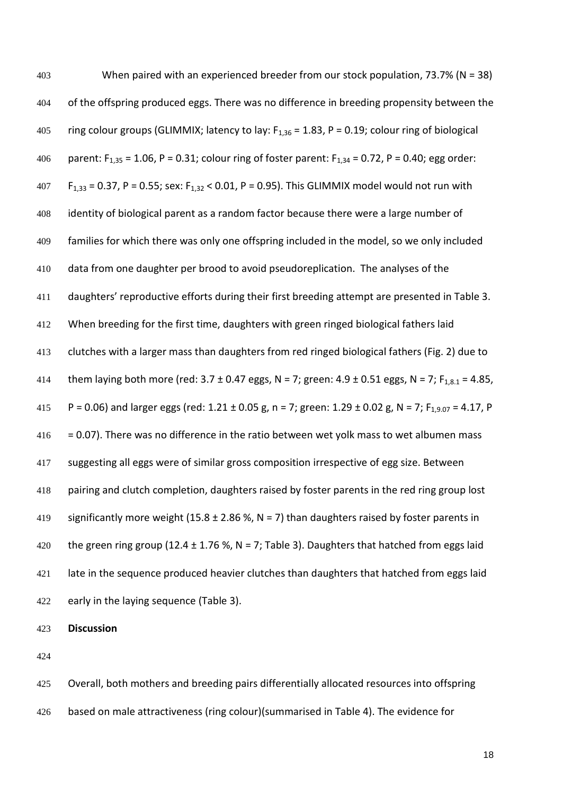| 403 | When paired with an experienced breeder from our stock population, $73.7\%$ (N = 38)                             |
|-----|------------------------------------------------------------------------------------------------------------------|
| 404 | of the offspring produced eggs. There was no difference in breeding propensity between the                       |
| 405 | ring colour groups (GLIMMIX; latency to lay: $F_{1,36}$ = 1.83, P = 0.19; colour ring of biological              |
| 406 | parent: $F_{1,35}$ = 1.06, P = 0.31; colour ring of foster parent: $F_{1,34}$ = 0.72, P = 0.40; egg order:       |
| 407 | $F_{1,33}$ = 0.37, P = 0.55; sex: $F_{1,32}$ < 0.01, P = 0.95). This GLIMMIX model would not run with            |
| 408 | identity of biological parent as a random factor because there were a large number of                            |
| 409 | families for which there was only one offspring included in the model, so we only included                       |
| 410 | data from one daughter per brood to avoid pseudoreplication. The analyses of the                                 |
| 411 | daughters' reproductive efforts during their first breeding attempt are presented in Table 3.                    |
| 412 | When breeding for the first time, daughters with green ringed biological fathers laid                            |
| 413 | clutches with a larger mass than daughters from red ringed biological fathers (Fig. 2) due to                    |
| 414 | them laying both more (red: 3.7 ± 0.47 eggs, N = 7; green: 4.9 ± 0.51 eggs, N = 7; F <sub>1,8.1</sub> = 4.85,    |
| 415 | P = 0.06) and larger eggs (red: 1.21 ± 0.05 g, n = 7; green: 1.29 ± 0.02 g, N = 7; F <sub>1,9.07</sub> = 4.17, P |
| 416 | = 0.07). There was no difference in the ratio between wet yolk mass to wet albumen mass                          |
| 417 | suggesting all eggs were of similar gross composition irrespective of egg size. Between                          |
| 418 | pairing and clutch completion, daughters raised by foster parents in the red ring group lost                     |
| 419 | significantly more weight (15.8 $\pm$ 2.86 %, N = 7) than daughters raised by foster parents in                  |
| 420 | the green ring group (12.4 $\pm$ 1.76 %, N = 7; Table 3). Daughters that hatched from eggs laid                  |
| 421 | late in the sequence produced heavier clutches than daughters that hatched from eggs laid                        |
| 422 | early in the laying sequence (Table 3).                                                                          |
|     |                                                                                                                  |

**Discussion**

 Overall, both mothers and breeding pairs differentially allocated resources into offspring based on male attractiveness (ring colour)(summarised in Table 4). The evidence for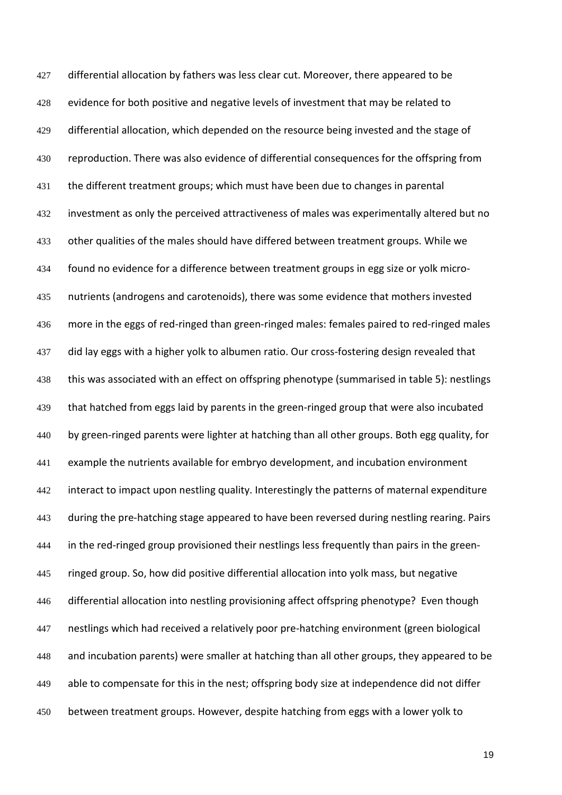427 differential allocation by fathers was less clear cut. Moreover, there appeared to be evidence for both positive and negative levels of investment that may be related to 429 differential allocation, which depended on the resource being invested and the stage of 430 reproduction. There was also evidence of differential consequences for the offspring from the different treatment groups; which must have been due to changes in parental investment as only the perceived attractiveness of males was experimentally altered but no other qualities of the males should have differed between treatment groups. While we found no evidence for a difference between treatment groups in egg size or yolk micro- nutrients (androgens and carotenoids), there was some evidence that mothers invested more in the eggs of red-ringed than green-ringed males: females paired to red-ringed males did lay eggs with a higher yolk to albumen ratio. Our cross-fostering design revealed that this was associated with an effect on offspring phenotype (summarised in table 5): nestlings 439 that hatched from eggs laid by parents in the green-ringed group that were also incubated by green-ringed parents were lighter at hatching than all other groups. Both egg quality, for example the nutrients available for embryo development, and incubation environment 442 interact to impact upon nestling quality. Interestingly the patterns of maternal expenditure 443 during the pre-hatching stage appeared to have been reversed during nestling rearing. Pairs in the red-ringed group provisioned their nestlings less frequently than pairs in the green- ringed group. So, how did positive differential allocation into yolk mass, but negative differential allocation into nestling provisioning affect offspring phenotype? Even though nestlings which had received a relatively poor pre-hatching environment (green biological and incubation parents) were smaller at hatching than all other groups, they appeared to be able to compensate for this in the nest; offspring body size at independence did not differ between treatment groups. However, despite hatching from eggs with a lower yolk to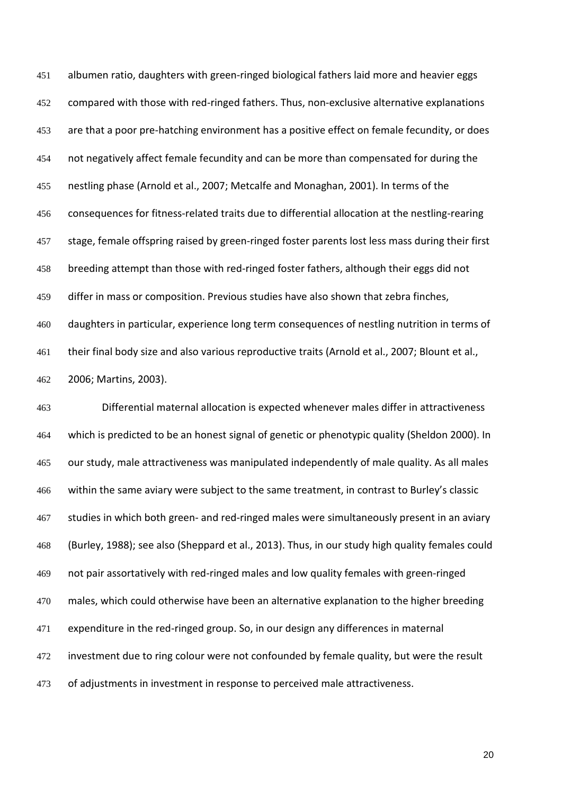albumen ratio, daughters with green-ringed biological fathers laid more and heavier eggs compared with those with red-ringed fathers. Thus, non-exclusive alternative explanations 453 are that a poor pre-hatching environment has a positive effect on female fecundity, or does not negatively affect female fecundity and can be more than compensated for during the nestling phase [\(Arnold et al., 2007;](#page-26-2) [Metcalfe and Monaghan, 2001\)](#page-28-15). In terms of the consequences for fitness-related traits due to differential allocation at the nestling-rearing stage, female offspring raised by green-ringed foster parents lost less mass during their first breeding attempt than those with red-ringed foster fathers, although their eggs did not differ in mass or composition. Previous studies have also shown that zebra finches, daughters in particular, experience long term consequences of nestling nutrition in terms of their final body size and also various reproductive traits [\(Arnold et al., 2007;](#page-26-2) [Blount et al.,](#page-26-3)  [2006;](#page-26-3) [Martins, 2003\)](#page-28-16).

 Differential maternal allocation is expected whenever males differ in attractiveness which is predicted to be an honest signal of genetic or phenotypic quality (Sheldon 2000). In our study, male attractiveness was manipulated independently of male quality. As all males within the same aviary were subject to the same treatment, in contrast to Burley's classic 467 studies in which both green- and red-ringed males were simultaneously present in an aviary [\(Burley, 1988\)](#page-27-1); see also [\(Sheppard et al., 2013\)](#page-29-3). Thus, in our study high quality females could not pair assortatively with red-ringed males and low quality females with green-ringed males, which could otherwise have been an alternative explanation to the higher breeding expenditure in the red-ringed group. So, in our design any differences in maternal 472 investment due to ring colour were not confounded by female quality, but were the result 473 of adjustments in investment in response to perceived male attractiveness.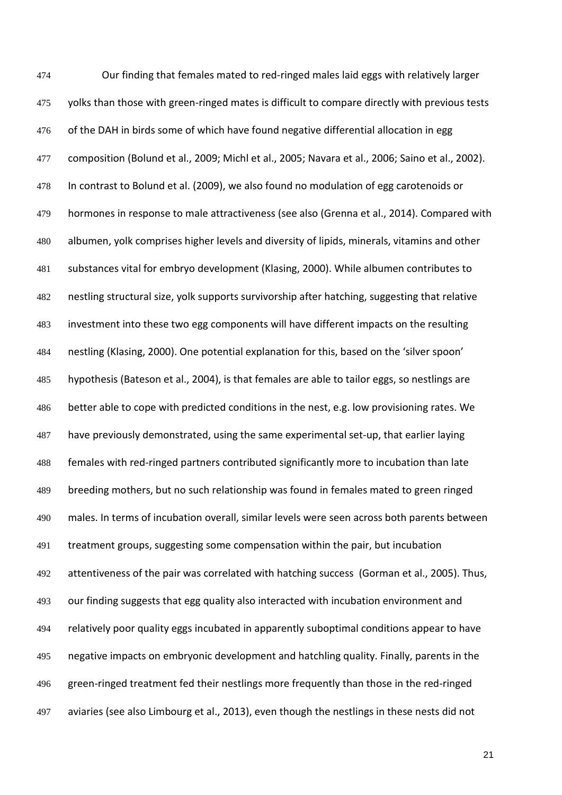Our finding that females mated to red-ringed males laid eggs with relatively larger 475 yolks than those with green-ringed mates is difficult to compare directly with previous tests 476 of the DAH in birds some of which have found negative differential allocation in egg composition [\(Bolund et al., 2009;](#page-27-8) [Michl et al., 2005;](#page-28-9) [Navara et al., 2006;](#page-28-10) [Saino et al., 2002\)](#page-28-6). In contrast to Bolund et al. (2009), we also found no modulation of egg carotenoids or hormones in response to male attractiveness (see also [\(Grenna et al., 2014\)](#page-27-14). Compared with albumen, yolk comprises higher levels and diversity of lipids, minerals, vitamins and other substances vital for embryo development [\(Klasing, 2000\)](#page-28-17). While albumen contributes to nestling structural size, yolk supports survivorship after hatching, suggesting that relative investment into these two egg components will have different impacts on the resulting nestling [\(Klasing, 2000\)](#page-28-17). One potential explanation for this, based on the 'silver spoon' hypothesis [\(Bateson et al., 2004\)](#page-26-4), is that females are able to tailor eggs, so nestlings are 486 better able to cope with predicted conditions in the nest, e.g. low provisioning rates. We have previously demonstrated, using the same experimental set-up, that earlier laying females with red-ringed partners contributed significantly more to incubation than late breeding mothers, but no such relationship was found in females mated to green ringed males. In terms of incubation overall, similar levels were seen across both parents between treatment groups, suggesting some compensation within the pair, but incubation attentiveness of the pair was correlated with hatching success [\(Gorman et al., 2005\)](#page-27-6). Thus, our finding suggests that egg quality also interacted with incubation environment and relatively poor quality eggs incubated in apparently suboptimal conditions appear to have negative impacts on embryonic development and hatchling quality. Finally, parents in the green-ringed treatment fed their nestlings more frequently than those in the red-ringed aviaries (see also [Limbourg et al., 2013\)](#page-28-18), even though the nestlings in these nests did not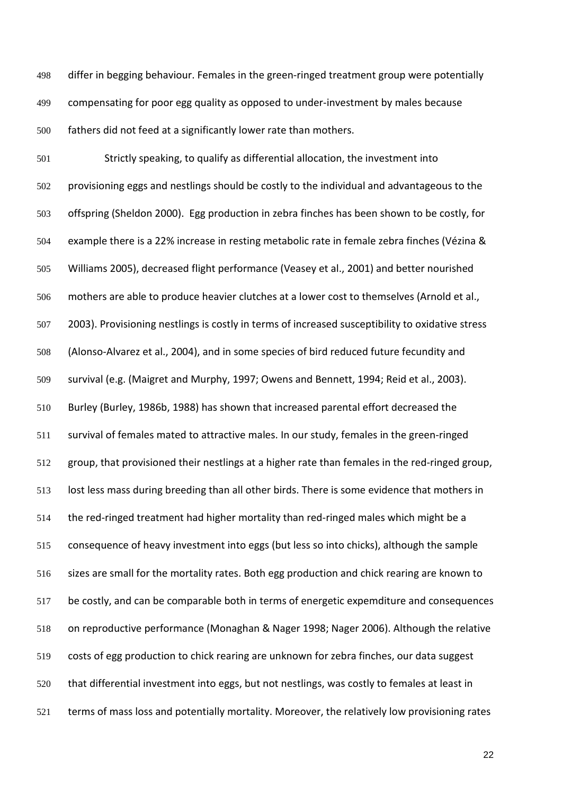differ in begging behaviour. Females in the green-ringed treatment group were potentially compensating for poor egg quality as opposed to under-investment by males because fathers did not feed at a significantly lower rate than mothers.

 Strictly speaking, to qualify as differential allocation, the investment into provisioning eggs and nestlings should be costly to the individual and advantageous to the offspring (Sheldon 2000). Egg production in zebra finches has been shown to be costly, for example there is a 22% increase in resting metabolic rate in female zebra finches (Vézina & Williams 2005), decreased flight performance [\(Veasey et al., 2001\)](#page-29-5) and better nourished mothers are able to produce heavier clutches at a lower cost to themselves [\(Arnold et al.,](#page-26-1)  [2003\)](#page-26-1). Provisioning nestlings is costly in terms of increased susceptibility to oxidative stress [\(Alonso-Alvarez et al., 2004\)](#page-26-5), and in some species of bird reduced future fecundity and survival (e.g. [\(Maigret and Murphy, 1997;](#page-28-19) [Owens and Bennett, 1994;](#page-28-20) [Reid et al., 2003\)](#page-28-21). Burley [\(Burley, 1986b,](#page-27-9) [1988\)](#page-27-1) has shown that increased parental effort decreased the survival of females mated to attractive males. In our study, females in the green-ringed group, that provisioned their nestlings at a higher rate than females in the red-ringed group, lost less mass during breeding than all other birds. There is some evidence that mothers in the red-ringed treatment had higher mortality than red-ringed males which might be a consequence of heavy investment into eggs (but less so into chicks), although the sample 516 sizes are small for the mortality rates. Both egg production and chick rearing are known to be costly, and can be comparable both in terms of energetic expemditure and consequences on reproductive performance (Monaghan & Nager 1998; Nager 2006). Although the relative costs of egg production to chick rearing are unknown for zebra finches, our data suggest that differential investment into eggs, but not nestlings, was costly to females at least in terms of mass loss and potentially mortality. Moreover, the relatively low provisioning rates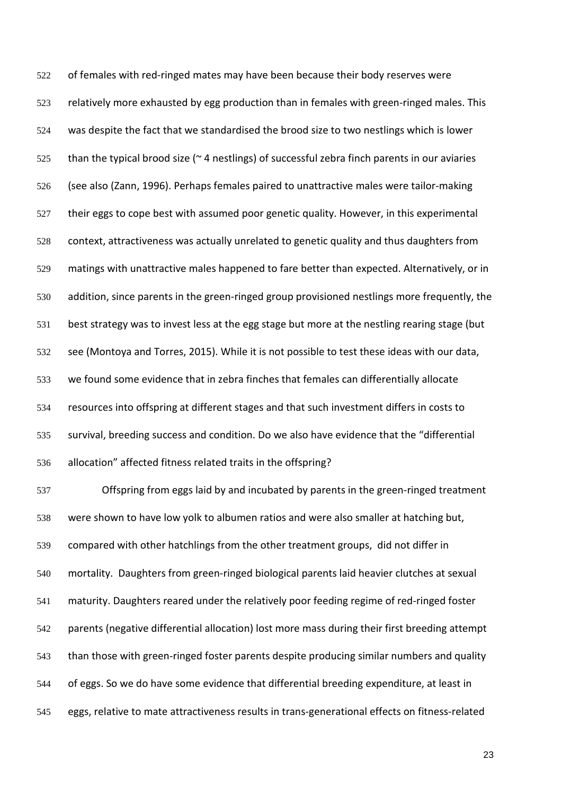of females with red-ringed mates may have been because their body reserves were relatively more exhausted by egg production than in females with green-ringed males. This was despite the fact that we standardised the brood size to two nestlings which is lower 525 than the typical brood size ( $\approx$  4 nestlings) of successful zebra finch parents in our aviaries (see also [\(Zann, 1996\)](#page-29-4). Perhaps females paired to unattractive males were tailor-making their eggs to cope best with assumed poor genetic quality. However, in this experimental context, attractiveness was actually unrelated to genetic quality and thus daughters from matings with unattractive males happened to fare better than expected. Alternatively, or in addition, since parents in the green-ringed group provisioned nestlings more frequently, the best strategy was to invest less at the egg stage but more at the nestling rearing stage (but see [\(Montoya and Torres, 2015\)](#page-28-2). While it is not possible to test these ideas with our data, we found some evidence that in zebra finches that females can differentially allocate resources into offspring at different stages and that such investment differs in costs to survival, breeding success and condition. Do we also have evidence that the "differential allocation" affected fitness related traits in the offspring? Offspring from eggs laid by and incubated by parents in the green-ringed treatment

 were shown to have low yolk to albumen ratios and were also smaller at hatching but, compared with other hatchlings from the other treatment groups, did not differ in mortality. Daughters from green-ringed biological parents laid heavier clutches at sexual maturity. Daughters reared under the relatively poor feeding regime of red-ringed foster parents (negative differential allocation) lost more mass during their first breeding attempt than those with green-ringed foster parents despite producing similar numbers and quality of eggs. So we do have some evidence that differential breeding expenditure, at least in eggs, relative to mate attractiveness results in trans-generational effects on fitness-related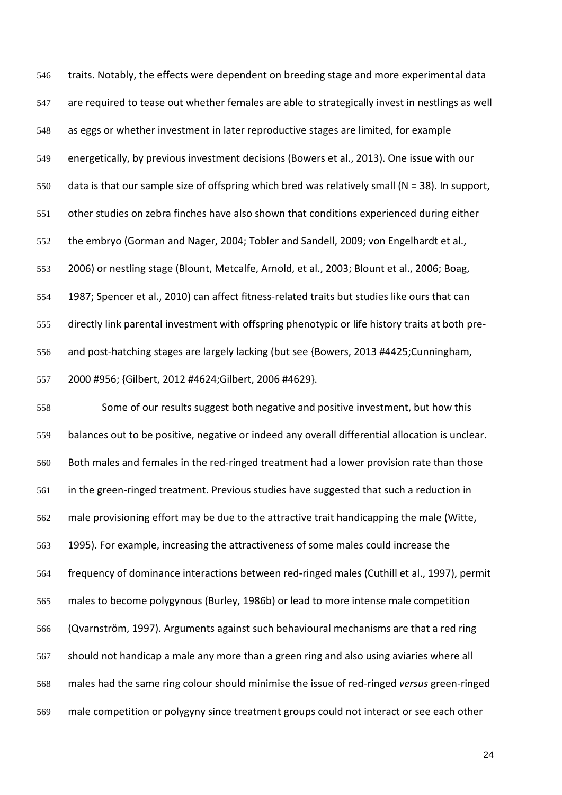traits. Notably, the effects were dependent on breeding stage and more experimental data are required to tease out whether females are able to strategically invest in nestlings as well as eggs or whether investment in later reproductive stages are limited, for example energetically, by previous investment decisions [\(Bowers et al., 2013\)](#page-27-15). One issue with our data is that our sample size of offspring which bred was relatively small (N = 38). In support, other studies on zebra finches have also shown that conditions experienced during either the embryo [\(Gorman and Nager, 2004;](#page-27-16) [Tobler and Sandell, 2009;](#page-29-6) [von Engelhardt et al.,](#page-29-7)  [2006\)](#page-29-7) or nestling stage [\(Blount, Metcalfe, Arnold, et al., 2003;](#page-26-6) [Blount et al., 2006;](#page-26-3) [Boag,](#page-26-7)  [1987;](#page-26-7) [Spencer et al., 2010\)](#page-29-8) can affect fitness-related traits but studies like ours that can directly link parental investment with offspring phenotypic or life history traits at both pre- and post-hatching stages are largely lacking (but see {Bowers, 2013 #4425;Cunningham, 2000 #956; {Gilbert, 2012 #4624;Gilbert, 2006 #4629}.

 Some of our results suggest both negative and positive investment, but how this balances out to be positive, negative or indeed any overall differential allocation is unclear. Both males and females in the red-ringed treatment had a lower provision rate than those in the green-ringed treatment. Previous studies have suggested that such a reduction in male provisioning effort may be due to the attractive trait handicapping the male [\(Witte,](#page-29-1) [1995\)](#page-29-1). For example, increasing the attractiveness of some males could increase the frequency of dominance interactions between red-ringed males [\(Cuthill et al., 1997\)](#page-27-17), permit males to become polygynous [\(Burley, 1986b\)](#page-27-9) or lead to more intense male competition [\(Qvarnström, 1997\)](#page-28-22). Arguments against such behavioural mechanisms are that a red ring should not handicap a male any more than a green ring and also using aviaries where all males had the same ring colour should minimise the issue of red-ringed *versus* green-ringed male competition or polygyny since treatment groups could not interact or see each other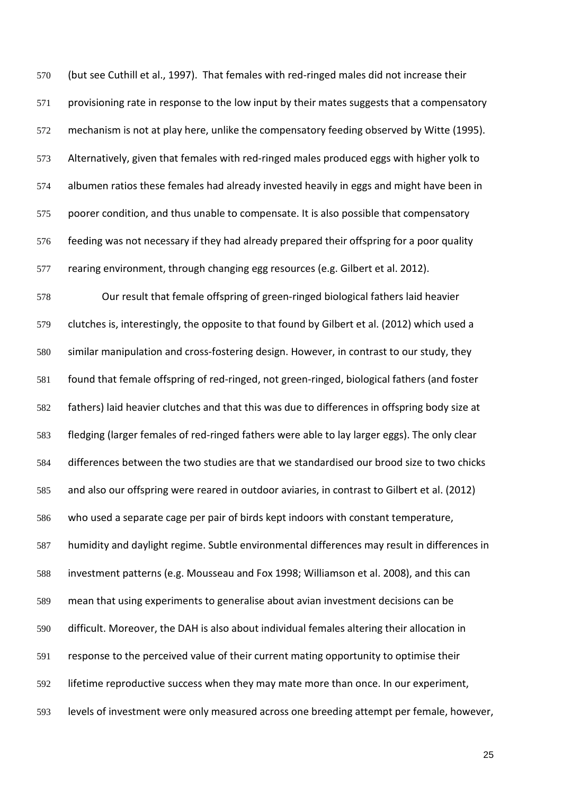(but see [Cuthill et al., 1997\)](#page-27-17). That females with red-ringed males did not increase their provisioning rate in response to the low input by their mates suggests that a compensatory mechanism is not at play here, unlike the compensatory feeding observed by Witte (1995). Alternatively, given that females with red-ringed males produced eggs with higher yolk to albumen ratios these females had already invested heavily in eggs and might have been in 575 poorer condition, and thus unable to compensate. It is also possible that compensatory feeding was not necessary if they had already prepared their offspring for a poor quality rearing environment, through changing egg resources (e.g. Gilbert et al. 2012).

 Our result that female offspring of green-ringed biological fathers laid heavier clutches is, interestingly, the opposite to that found by Gilbert et al. (2012) which used a similar manipulation and cross-fostering design. However, in contrast to our study, they found that female offspring of red-ringed, not green-ringed, biological fathers (and foster fathers) laid heavier clutches and that this was due to differences in offspring body size at fledging (larger females of red-ringed fathers were able to lay larger eggs). The only clear differences between the two studies are that we standardised our brood size to two chicks and also our offspring were reared in outdoor aviaries, in contrast to Gilbert et al. (2012) who used a separate cage per pair of birds kept indoors with constant temperature, humidity and daylight regime. Subtle environmental differences may result in differences in investment patterns (e.g. Mousseau and Fox 1998; Williamson et al. 2008), and this can mean that using experiments to generalise about avian investment decisions can be difficult. Moreover, the DAH is also about individual females altering their allocation in response to the perceived value of their current mating opportunity to optimise their lifetime reproductive success when they may mate more than once. In our experiment, levels of investment were only measured across one breeding attempt per female, however,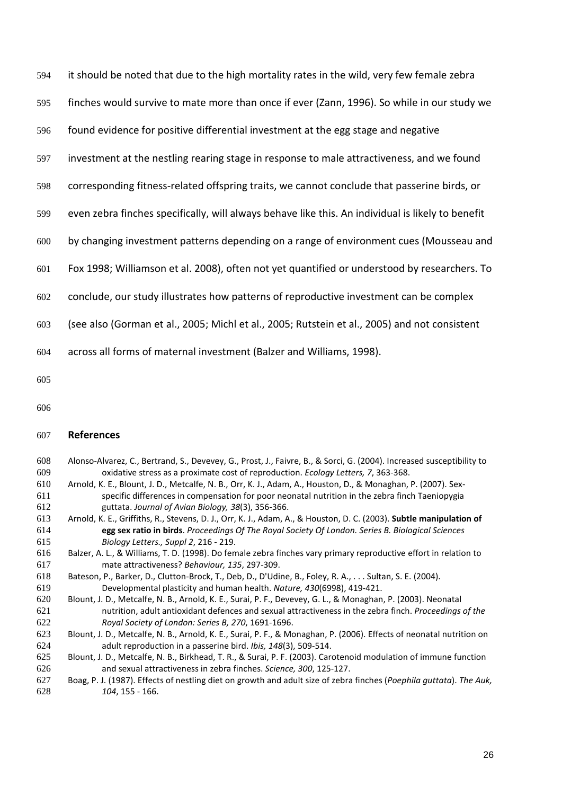| 594 | it should be noted that due to the high mortality rates in the wild, very few female zebra        |
|-----|---------------------------------------------------------------------------------------------------|
| 595 | finches would survive to mate more than once if ever (Zann, 1996). So while in our study we       |
| 596 | found evidence for positive differential investment at the egg stage and negative                 |
| 597 | investment at the nestling rearing stage in response to male attractiveness, and we found         |
| 598 | corresponding fitness-related offspring traits, we cannot conclude that passerine birds, or       |
| 599 | even zebra finches specifically, will always behave like this. An individual is likely to benefit |
| 600 | by changing investment patterns depending on a range of environment cues (Mousseau and            |
| 601 | Fox 1998; Williamson et al. 2008), often not yet quantified or understood by researchers. To      |
| 602 | conclude, our study illustrates how patterns of reproductive investment can be complex            |
| 603 | (see also (Gorman et al., 2005; Michl et al., 2005; Rutstein et al., 2005) and not consistent     |
| 604 | across all forms of maternal investment (Balzer and Williams, 1998).                              |
| 605 |                                                                                                   |
| 606 |                                                                                                   |

## **References**

- <span id="page-26-5"></span> Alonso-Alvarez, C., Bertrand, S., Devevey, G., Prost, J., Faivre, B., & Sorci, G. (2004). Increased susceptibility to oxidative stress as a proximate cost of reproduction. *Ecology Letters, 7*, 363-368.
- <span id="page-26-2"></span> Arnold, K. E., Blount, J. D., Metcalfe, N. B., Orr, K. J., Adam, A., Houston, D., & Monaghan, P. (2007). Sex- specific differences in compensation for poor neonatal nutrition in the zebra finch Taeniopygia guttata. *Journal of Avian Biology, 38*(3), 356-366.
- <span id="page-26-1"></span> Arnold, K. E., Griffiths, R., Stevens, D. J., Orr, K. J., Adam, A., & Houston, D. C. (2003). **Subtle manipulation of egg sex ratio in birds**. *Proceedings Of The Royal Society Of London. Series B. Biological Sciences Biology Letters., Suppl 2*, 216 - 219.
- <span id="page-26-8"></span> Balzer, A. L., & Williams, T. D. (1998). Do female zebra finches vary primary reproductive effort in relation to mate attractiveness? *Behaviour, 135*, 297-309.
- <span id="page-26-4"></span> Bateson, P., Barker, D., Clutton-Brock, T., Deb, D., D'Udine, B., Foley, R. A., . . . Sultan, S. E. (2004). Developmental plasticity and human health. *Nature, 430*(6998), 419-421.
- <span id="page-26-6"></span> Blount, J. D., Metcalfe, N. B., Arnold, K. E., Surai, P. F., Devevey, G. L., & Monaghan, P. (2003). Neonatal nutrition, adult antioxidant defences and sexual attractiveness in the zebra finch. *Proceedings of the Royal Society of London: Series B, 270*, 1691-1696.
- <span id="page-26-3"></span> Blount, J. D., Metcalfe, N. B., Arnold, K. E., Surai, P. F., & Monaghan, P. (2006). Effects of neonatal nutrition on adult reproduction in a passerine bird. *Ibis, 148*(3), 509-514.
- <span id="page-26-0"></span> Blount, J. D., Metcalfe, N. B., Birkhead, T. R., & Surai, P. F. (2003). Carotenoid modulation of immune function and sexual attractiveness in zebra finches. *Science, 300*, 125-127.
- <span id="page-26-7"></span> Boag, P. J. (1987). Effects of nestling diet on growth and adult size of zebra finches (*Poephila guttata*). *The Auk, 104*, 155 - 166.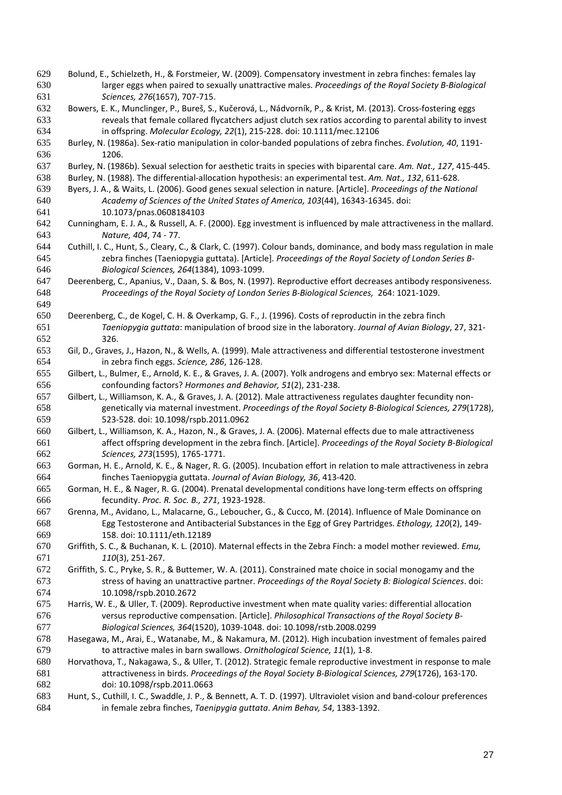- <span id="page-27-8"></span> Bolund, E., Schielzeth, H., & Forstmeier, W. (2009). Compensatory investment in zebra finches: females lay larger eggs when paired to sexually unattractive males. *Proceedings of the Royal Society B-Biological Sciences, 276*(1657), 707-715.
- <span id="page-27-15"></span> Bowers, E. K., Munclinger, P., Bureš, S., Kučerová, L., Nádvorník, P., & Krist, M. (2013). Cross-fostering eggs reveals that female collared flycatchers adjust clutch sex ratios according to parental ability to invest in offspring. *Molecular Ecology, 22*(1), 215-228. doi: 10.1111/mec.12106
- <span id="page-27-0"></span> Burley, N. (1986a). Sex-ratio manipulation in color-banded populations of zebra finches. *Evolution, 40*, 1191- 1206.
- <span id="page-27-9"></span>Burley, N. (1986b). Sexual selection for aesthetic traits in species with biparental care. *Am. Nat., 127*, 415-445.
- <span id="page-27-1"></span>Burley, N. (1988). The differential-allocation hypothesis: an experimental test. *Am. Nat., 132*, 611-628.
- <span id="page-27-2"></span> Byers, J. A., & Waits, L. (2006). Good genes sexual selection in nature. [Article]. *Proceedings of the National Academy of Sciences of the United States of America, 103*(44), 16343-16345. doi: 10.1073/pnas.0608184103
- Cunningham, E. J. A., & Russell, A. F. (2000). Egg investment is influenced by male attractiveness in the mallard. *Nature, 404*, 74 - 77.
- <span id="page-27-17"></span> Cuthill, I. C., Hunt, S., Cleary, C., & Clark, C. (1997). Colour bands, dominance, and body mass regulation in male zebra finches (Taeniopygia guttata). [Article]. *Proceedings of the Royal Society of London Series B-Biological Sciences, 264*(1384), 1093-1099.
- Deerenberg, C., Apanius, V., Daan, S. & Bos, N. (1997). Reproductive effort decreases antibody responsiveness. *Proceedings of the Royal Society of London Series B-Biological Sciences,* 264: 1021-1029.
- Deerenberg, C., de Kogel, C. H. & Overkamp, G. F., J. (1996). Costs of reproductin in the zebra finch *Taeniopygia guttata*: manipulation of brood size in the laboratory. *Journal of Avian Biology*, 27, 321- 326.
- <span id="page-27-13"></span> Gil, D., Graves, J., Hazon, N., & Wells, A. (1999). Male attractiveness and differential testosterone investment in zebra finch eggs. *Science, 286*, 126-128.
- <span id="page-27-12"></span> Gilbert, L., Bulmer, E., Arnold, K. E., & Graves, J. A. (2007). Yolk androgens and embryo sex: Maternal effects or confounding factors? *Hormones and Behavior, 51*(2), 231-238.
- Gilbert, L., Williamson, K. A., & Graves, J. A. (2012). Male attractiveness regulates daughter fecundity non- genetically via maternal investment. *Proceedings of the Royal Society B-Biological Sciences, 279*(1728), 523-528. doi: 10.1098/rspb.2011.0962
- Gilbert, L., Williamson, K. A., Hazon, N., & Graves, J. A. (2006). Maternal effects due to male attractiveness affect offspring development in the zebra finch. [Article]. *Proceedings of the Royal Society B-Biological Sciences, 273*(1595), 1765-1771.
- <span id="page-27-6"></span> Gorman, H. E., Arnold, K. E., & Nager, R. G. (2005). Incubation effort in relation to male attractiveness in zebra finches Taeniopygia guttata. *Journal of Avian Biology, 36*, 413-420.
- <span id="page-27-16"></span> Gorman, H. E., & Nager, R. G. (2004). Prenatal developmental conditions have long-term effects on offspring fecundity. *Proc. R. Soc. B., 271*, 1923-1928.
- <span id="page-27-14"></span> Grenna, M., Avidano, L., Malacarne, G., Leboucher, G., & Cucco, M. (2014). Influence of Male Dominance on Egg Testosterone and Antibacterial Substances in the Egg of Grey Partridges. *Ethology, 120*(2), 149- 158. doi: 10.1111/eth.12189
- <span id="page-27-3"></span> Griffith, S. C., & Buchanan, K. L. (2010). Maternal effects in the Zebra Finch: a model mother reviewed. *Emu, 110*(3), 251-267.
- <span id="page-27-11"></span> Griffith, S. C., Pryke, S. R., & Buttemer, W. A. (2011). Constrained mate choice in social monogamy and the stress of having an unattractive partner. *Proceedings of the Royal Society B: Biological Sciences*. doi: 10.1098/rspb.2010.2672
- <span id="page-27-4"></span> Harris, W. E., & Uller, T. (2009). Reproductive investment when mate quality varies: differential allocation versus reproductive compensation. [Article]. *Philosophical Transactions of the Royal Society B-Biological Sciences, 364*(1520), 1039-1048. doi: 10.1098/rstb.2008.0299
- <span id="page-27-7"></span> Hasegawa, M., Arai, E., Watanabe, M., & Nakamura, M. (2012). High incubation investment of females paired to attractive males in barn swallows. *Ornithological Science, 11*(1), 1-8.
- <span id="page-27-5"></span> Horvathova, T., Nakagawa, S., & Uller, T. (2012). Strategic female reproductive investment in response to male attractiveness in birds. *Proceedings of the Royal Society B-Biological Sciences, 279*(1726), 163-170. doi: 10.1098/rspb.2011.0663
- <span id="page-27-10"></span> Hunt, S., Cuthill, I. C., Swaddle, J. P., & Bennett, A. T. D. (1997). Ultraviolet vision and band-colour preferences in female zebra finches, *Taenipygia guttata*. *Anim Behav, 54*, 1383-1392.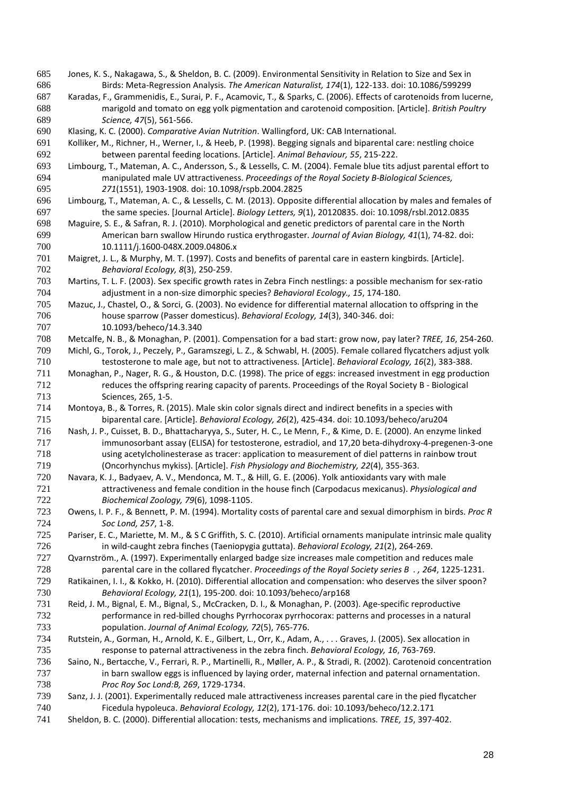- <span id="page-28-1"></span> Jones, K. S., Nakagawa, S., & Sheldon, B. C. (2009). Environmental Sensitivity in Relation to Size and Sex in Birds: Meta-Regression Analysis. *The American Naturalist, 174*(1), 122-133. doi: 10.1086/599299
- <span id="page-28-12"></span> Karadas, F., Grammenidis, E., Surai, P. F., Acamovic, T., & Sparks, C. (2006). Effects of carotenoids from lucerne, marigold and tomato on egg yolk pigmentation and carotenoid composition. [Article]. *British Poultry Science, 47*(5), 561-566.
- <span id="page-28-17"></span>Klasing, K. C. (2000). *Comparative Avian Nutrition*. Wallingford, UK: CAB International.
- <span id="page-28-14"></span> Kolliker, M., Richner, H., Werner, I., & Heeb, P. (1998). Begging signals and biparental care: nestling choice between parental feeding locations. [Article]. *Animal Behaviour, 55*, 215-222.
- <span id="page-28-7"></span> Limbourg, T., Mateman, A. C., Andersson, S., & Lessells, C. M. (2004). Female blue tits adjust parental effort to manipulated male UV attractiveness. *Proceedings of the Royal Society B-Biological Sciences, 271*(1551), 1903-1908. doi: 10.1098/rspb.2004.2825
- <span id="page-28-18"></span> Limbourg, T., Mateman, A. C., & Lessells, C. M. (2013). Opposite differential allocation by males and females of the same species. [Journal Article]. *Biology Letters, 9*(1), 20120835. doi: 10.1098/rsbl.2012.0835
- <span id="page-28-8"></span> Maguire, S. E., & Safran, R. J. (2010). Morphological and genetic predictors of parental care in the North American barn swallow Hirundo rustica erythrogaster. *Journal of Avian Biology, 41*(1), 74-82. doi: 10.1111/j.1600-048X.2009.04806.x
- <span id="page-28-19"></span> Maigret, J. L., & Murphy, M. T. (1997). Costs and benefits of parental care in eastern kingbirds. [Article]. *Behavioral Ecology, 8*(3), 250-259.
- <span id="page-28-16"></span> Martins, T. L. F. (2003). Sex specific growth rates in Zebra Finch nestlings: a possible mechanism for sex-ratio adjustment in a non-size dimorphic species? *Behavioral Ecology., 15*, 174-180.
- <span id="page-28-4"></span> Mazuc, J., Chastel, O., & Sorci, G. (2003). No evidence for differential maternal allocation to offspring in the house sparrow (Passer domesticus). *Behavioral Ecology, 14*(3), 340-346. doi: 10.1093/beheco/14.3.340
- <span id="page-28-15"></span>Metcalfe, N. B., & Monaghan, P. (2001). Compensation for a bad start: grow now, pay later? *TREE, 16*, 254-260.
- <span id="page-28-9"></span> Michl, G., Torok, J., Peczely, P., Garamszegi, L. Z., & Schwabl, H. (2005). Female collared flycatchers adjust yolk testosterone to male age, but not to attractiveness. [Article]. *Behavioral Ecology, 16*(2), 383-388. Monaghan, P., Nager, R. G., & Houston, D.C. (1998). The price of eggs: increased investment in egg production
- reduces the offspring rearing capacity of parents. Proceedings of the Royal Society B Biological Sciences, 265, 1-5.
- <span id="page-28-2"></span> Montoya, B., & Torres, R. (2015). Male skin color signals direct and indirect benefits in a species with biparental care. [Article]. *Behavioral Ecology, 26*(2), 425-434. doi: 10.1093/beheco/aru204
- <span id="page-28-13"></span> Nash, J. P., Cuisset, B. D., Bhattacharyya, S., Suter, H. C., Le Menn, F., & Kime, D. E. (2000). An enzyme linked immunosorbant assay (ELISA) for testosterone, estradiol, and 17,20 beta-dihydroxy-4-pregenen-3-one using acetylcholinesterase as tracer: application to measurement of diel patterns in rainbow trout (Oncorhynchus mykiss). [Article]. *Fish Physiology and Biochemistry, 22*(4), 355-363.
- <span id="page-28-10"></span> Navara, K. J., Badyaev, A. V., Mendonca, M. T., & Hill, G. E. (2006). Yolk antioxidants vary with male attractiveness and female condition in the house finch (Carpodacus mexicanus). *Physiological and Biochemical Zoology, 79*(6), 1098-1105.
- <span id="page-28-20"></span> Owens, I. P. F., & Bennett, P. M. (1994). Mortality costs of parental care and sexual dimorphism in birds. *Proc R Soc Lond, 257*, 1-8.
- <span id="page-28-11"></span> Pariser, E. C., Mariette, M. M., & S C Griffith, S. C. (2010). Artificial ornaments manipulate intrinsic male quality in wild-caught zebra finches (Taeniopygia guttata). *Behavioral Ecology, 21*(2), 264-269.
- <span id="page-28-22"></span> Qvarnström., A. (1997). Experimentally enlarged badge size increases male competition and reduces male parental care in the collared flycatcher. *Proceedings of the Royal Society series B . , 264*, 1225-1231.
- <span id="page-28-3"></span> Ratikainen, I. I., & Kokko, H. (2010). Differential allocation and compensation: who deserves the silver spoon? *Behavioral Ecology, 21*(1), 195-200. doi: 10.1093/beheco/arp168
- <span id="page-28-21"></span> Reid, J. M., Bignal, E. M., Bignal, S., McCracken, D. I., & Monaghan, P. (2003). Age-specific reproductive performance in red-billed choughs Pyrrhocorax pyrrhocorax: patterns and processes in a natural population. *Journal of Animal Ecology, 72*(5), 765-776.
- <span id="page-28-23"></span> Rutstein, A., Gorman, H., Arnold, K. E., Gilbert, L., Orr, K., Adam, A., . . . Graves, J. (2005). Sex allocation in response to paternal attractiveness in the zebra finch. *Behavioral Ecology, 16*, 763-769.
- <span id="page-28-6"></span> Saino, N., Bertacche, V., Ferrari, R. P., Martinelli, R., Møller, A. P., & Stradi, R. (2002). Carotenoid concentration in barn swallow eggs is influenced by laying order, maternal infection and paternal ornamentation. *Proc Roy Soc Lond:B, 269*, 1729-1734.
- <span id="page-28-5"></span> Sanz, J. J. (2001). Experimentally reduced male attractiveness increases parental care in the pied flycatcher Ficedula hypoleuca. *Behavioral Ecology, 12*(2), 171-176. doi: 10.1093/beheco/12.2.171
- <span id="page-28-0"></span>Sheldon, B. C. (2000). Differential allocation: tests, mechanisms and implications. *TREE, 15*, 397-402.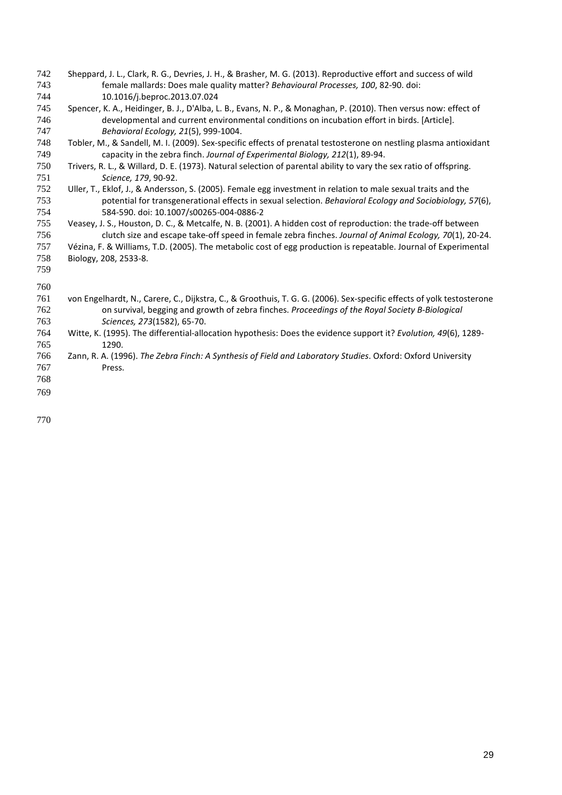- <span id="page-29-3"></span> Sheppard, J. L., Clark, R. G., Devries, J. H., & Brasher, M. G. (2013). Reproductive effort and success of wild female mallards: Does male quality matter? *Behavioural Processes, 100*, 82-90. doi: 10.1016/j.beproc.2013.07.024
- <span id="page-29-8"></span> Spencer, K. A., Heidinger, B. J., D'Alba, L. B., Evans, N. P., & Monaghan, P. (2010). Then versus now: effect of developmental and current environmental conditions on incubation effort in birds. [Article]. *Behavioral Ecology, 21*(5), 999-1004.
- <span id="page-29-6"></span> Tobler, M., & Sandell, M. I. (2009). Sex-specific effects of prenatal testosterone on nestling plasma antioxidant capacity in the zebra finch. *Journal of Experimental Biology, 212*(1), 89-94.
- <span id="page-29-0"></span> Trivers, R. L., & Willard, D. E. (1973). Natural selection of parental ability to vary the sex ratio of offspring. *Science, 179*, 90-92.
- <span id="page-29-2"></span> Uller, T., Eklof, J., & Andersson, S. (2005). Female egg investment in relation to male sexual traits and the potential for transgenerational effects in sexual selection. *Behavioral Ecology and Sociobiology, 57*(6), 584-590. doi: 10.1007/s00265-004-0886-2
- <span id="page-29-5"></span> Veasey, J. S., Houston, D. C., & Metcalfe, N. B. (2001). A hidden cost of reproduction: the trade-off between clutch size and escape take-off speed in female zebra finches. *Journal of Animal Ecology, 70*(1), 20-24.
- [Vézina, F.](http://www.ncbi.nlm.nih.gov/pubmed/?term=V%C3%A9zina%20F%5BAuthor%5D&cauthor=true&cauthor_uid=15961739) & [Williams, T.D.](http://www.ncbi.nlm.nih.gov/pubmed/?term=Williams%20TD%5BAuthor%5D&cauthor=true&cauthor_uid=15961739) (2005). The metabolic cost of egg production is repeatable. [Journal of Experimental](http://www.ncbi.nlm.nih.gov/pubmed/15961739)  [Biology,](http://www.ncbi.nlm.nih.gov/pubmed/15961739) 208, 2533-8.

 

- <span id="page-29-7"></span> von Engelhardt, N., Carere, C., Dijkstra, C., & Groothuis, T. G. G. (2006). Sex-specific effects of yolk testosterone on survival, begging and growth of zebra finches. *Proceedings of the Royal Society B-Biological Sciences, 273*(1582), 65-70.
- <span id="page-29-1"></span> Witte, K. (1995). The differential-allocation hypothesis: Does the evidence support it? *Evolution, 49*(6), 1289- 1290.
- <span id="page-29-4"></span> Zann, R. A. (1996). *The Zebra Finch: A Synthesis of Field and Laboratory Studies*. Oxford: Oxford University Press.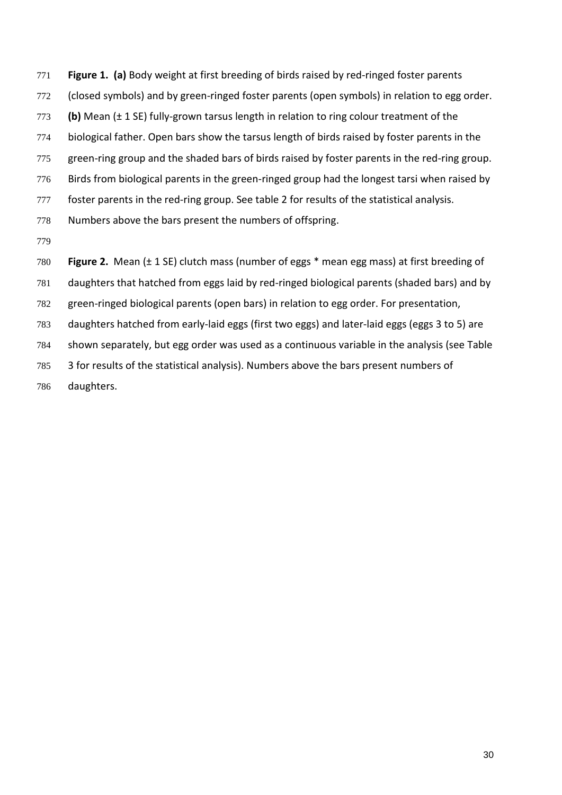- **Figure 1. (a)** Body weight at first breeding of birds raised by red-ringed foster parents
- (closed symbols) and by green-ringed foster parents (open symbols) in relation to egg order.
- **(b)** Mean (± 1 SE) fully-grown tarsus length in relation to ring colour treatment of the
- biological father. Open bars show the tarsus length of birds raised by foster parents in the
- green-ring group and the shaded bars of birds raised by foster parents in the red-ring group.
- Birds from biological parents in the green-ringed group had the longest tarsi when raised by
- 777 foster parents in the red-ring group. See table 2 for results of the statistical analysis.
- Numbers above the bars present the numbers of offspring.
- 
- **Figure 2.** Mean (± 1 SE) clutch mass (number of eggs \* mean egg mass) at first breeding of
- daughters that hatched from eggs laid by red-ringed biological parents (shaded bars) and by
- green-ringed biological parents (open bars) in relation to egg order. For presentation,
- daughters hatched from early-laid eggs (first two eggs) and later-laid eggs (eggs 3 to 5) are
- shown separately, but egg order was used as a continuous variable in the analysis (see Table
- 3 for results of the statistical analysis). Numbers above the bars present numbers of
- daughters.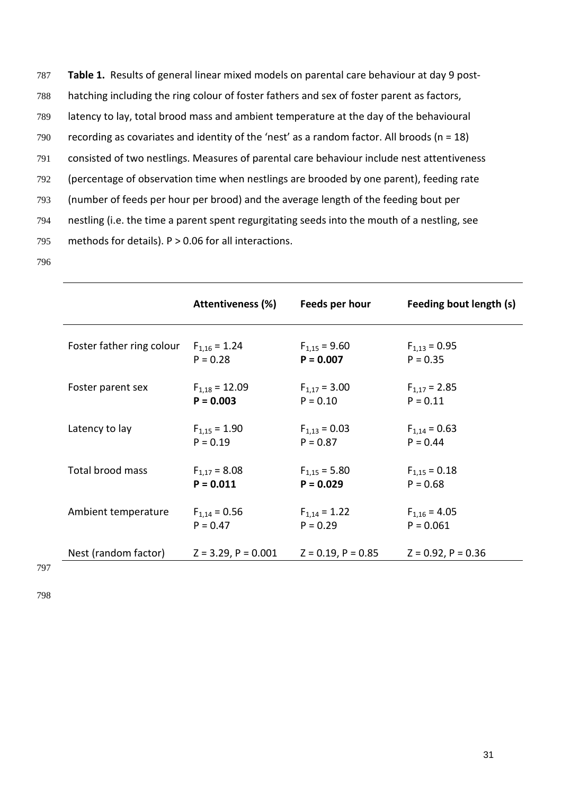**Table 1.** Results of general linear mixed models on parental care behaviour at day 9 post- hatching including the ring colour of foster fathers and sex of foster parent as factors, latency to lay, total brood mass and ambient temperature at the day of the behavioural recording as covariates and identity of the 'nest' as a random factor. All broods (n = 18) consisted of two nestlings. Measures of parental care behaviour include nest attentiveness (percentage of observation time when nestlings are brooded by one parent), feeding rate (number of feeds per hour per brood) and the average length of the feeding bout per nestling (i.e. the time a parent spent regurgitating seeds into the mouth of a nestling, see methods for details). P > 0.06 for all interactions. 796

|                           | <b>Attentiveness (%)</b> | Feeds per hour          | Feeding bout length (s) |
|---------------------------|--------------------------|-------------------------|-------------------------|
| Foster father ring colour | $F_{1,16} = 1.24$        | $F_{1.15} = 9.60$       | $F_{1,13} = 0.95$       |
|                           | $P = 0.28$               | $P = 0.007$             | $P = 0.35$              |
| Foster parent sex         | $F_{1.18} = 12.09$       | $F_{1.17} = 3.00$       | $F_{1.17} = 2.85$       |
|                           | $P = 0.003$              | $P = 0.10$              | $P = 0.11$              |
| Latency to lay            | $F_{1,15} = 1.90$        | $F_{1,13} = 0.03$       | $F_{1,14} = 0.63$       |
|                           | $P = 0.19$               | $P = 0.87$              | $P = 0.44$              |
| Total brood mass          | $F_{1,17} = 8.08$        | $F_{1,15} = 5.80$       | $F_{1,15} = 0.18$       |
|                           | $P = 0.011$              | $P = 0.029$             | $P = 0.68$              |
| Ambient temperature       | $F_{1,14} = 0.56$        | $F_{1,14} = 1.22$       | $F_{1,16} = 4.05$       |
|                           | $P = 0.47$               | $P = 0.29$              | $P = 0.061$             |
| Nest (random factor)      | $Z = 3.29$ , $P = 0.001$ | $Z = 0.19$ , $P = 0.85$ | $Z = 0.92$ , $P = 0.36$ |

797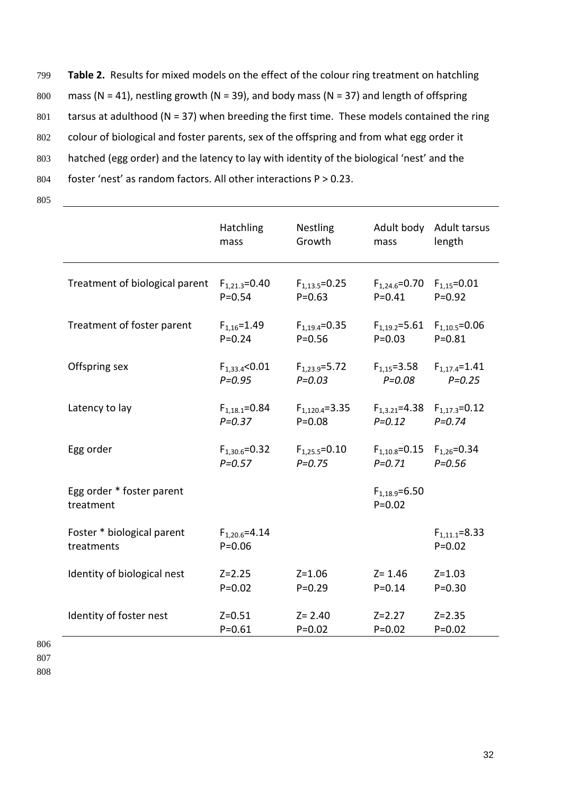799 **Table 2.** Results for mixed models on the effect of the colour ring treatment on hatchling 800 mass (N = 41), nestling growth (N = 39), and body mass (N = 37) and length of offspring 801 tarsus at adulthood (N = 37) when breeding the first time. These models contained the ring 802 colour of biological and foster parents, sex of the offspring and from what egg order it 803 hatched (egg order) and the latency to lay with identity of the biological 'nest' and the 804 foster 'nest' as random factors. All other interactions P > 0.23. 805

|                                          | Hatchling                         | Nestling             | Adult body                        | Adult tarsus                      |
|------------------------------------------|-----------------------------------|----------------------|-----------------------------------|-----------------------------------|
|                                          | mass                              | Growth               | mass                              | length                            |
| Treatment of biological parent           | $F_{1,21,3} = 0.40$               | $F_{1.13.5} = 0.25$  | $F_{1,24.6} = 0.70$               | $F_{1,15} = 0.01$                 |
|                                          | $P = 0.54$                        | $P = 0.63$           | $P = 0.41$                        | $P = 0.92$                        |
| Treatment of foster parent               | $F_{1.16} = 1.49$                 | $F_{1.19.4} = 0.35$  | $F_{1.19.2} = 5.61$               | $F_{1,10.5} = 0.06$               |
|                                          | $P = 0.24$                        | $P = 0.56$           | $P = 0.03$                        | $P = 0.81$                        |
| Offspring sex                            | $F_{1,33.4}$ <0.01                | $F_{1,23.9} = 5.72$  | $F_{1,15} = 3.58$                 | $F_{1,17.4} = 1.41$               |
|                                          | $P = 0.95$                        | $P = 0.03$           | $P = 0.08$                        | $P = 0.25$                        |
| Latency to lay                           | $F_{1,18.1} = 0.84$               | $F_{1,120.4} = 3.35$ | $F_{1,3.21} = 4.38$               | $F_{1,17.3}=0.12$                 |
|                                          | $P = 0.37$                        | $P = 0.08$           | $P = 0.12$                        | $P = 0.74$                        |
| Egg order                                | $F_{1,30.6} = 0.32$               | $F_{1,25.5} = 0.10$  | $F_{1.10.8} = 0.15$               | $F_{1,26} = 0.34$                 |
|                                          | $P = 0.57$                        | $P = 0.75$           | $P = 0.71$                        | $P = 0.56$                        |
| Egg order * foster parent<br>treatment   |                                   |                      | $F_{1.18.9} = 6.50$<br>$P = 0.02$ |                                   |
| Foster * biological parent<br>treatments | $F_{1,20.6} = 4.14$<br>$P = 0.06$ |                      |                                   | $F_{1,11.1} = 8.33$<br>$P = 0.02$ |
| Identity of biological nest              | $Z = 2.25$                        | $Z = 1.06$           | $Z = 1.46$                        | $Z = 1.03$                        |
|                                          | $P = 0.02$                        | $P = 0.29$           | $P = 0.14$                        | $P = 0.30$                        |
| Identity of foster nest                  | $Z = 0.51$                        | $Z = 2.40$           | $Z = 2.27$                        | $Z = 2.35$                        |
|                                          | $P = 0.61$                        | $P = 0.02$           | $P = 0.02$                        | $P = 0.02$                        |

806 807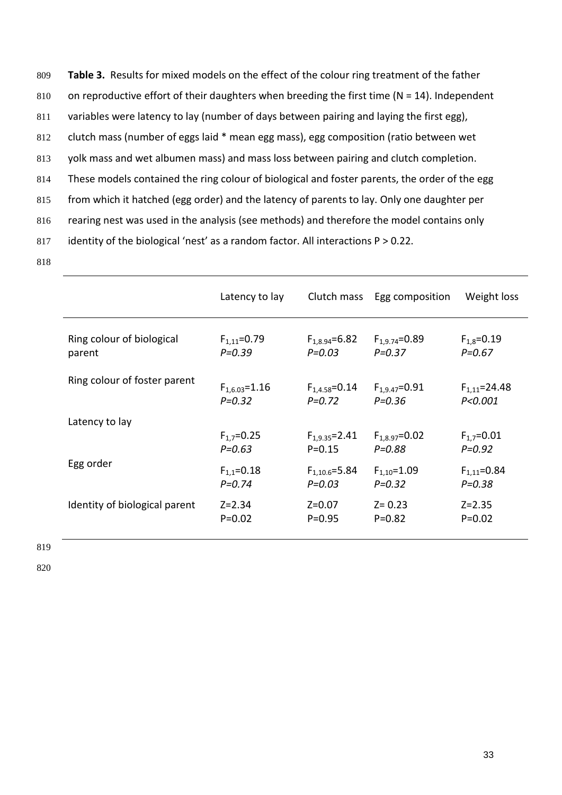809 **Table 3.** Results for mixed models on the effect of the colour ring treatment of the father 810 on reproductive effort of their daughters when breeding the first time ( $N = 14$ ). Independent 811 variables were latency to lay (number of days between pairing and laying the first egg), 812 clutch mass (number of eggs laid \* mean egg mass), egg composition (ratio between wet 813 yolk mass and wet albumen mass) and mass loss between pairing and clutch completion. 814 These models contained the ring colour of biological and foster parents, the order of the egg 815 from which it hatched (egg order) and the latency of parents to lay. Only one daughter per 816 rearing nest was used in the analysis (see methods) and therefore the model contains only 817 identity of the biological 'nest' as a random factor. All interactions P > 0.22. 818

| Latency to lay      |                     |                     | Weight loss                 |
|---------------------|---------------------|---------------------|-----------------------------|
| $F_{1.11} = 0.79$   | $F_{1.8.94} = 6.82$ | $F_{1.9.74} = 0.89$ | $F_{1.8} = 0.19$            |
| $P = 0.39$          | $P = 0.03$          | $P = 0.37$          | $P = 0.67$                  |
| $F_{1.6.03} = 1.16$ | $F_{1.4.58} = 0.14$ | $F_{1.9.47} = 0.91$ | $F_{1,11} = 24.48$          |
| $P = 0.32$          | $P = 0.72$          | $P = 0.36$          | P < 0.001                   |
|                     |                     |                     |                             |
| $F_{1.7} = 0.25$    | $F_{1.9.35} = 2.41$ | $F_{1.8.97} = 0.02$ | $F_{1.7} = 0.01$            |
| $P = 0.63$          | $P = 0.15$          | $P = 0.88$          | $P = 0.92$                  |
| $F_{1.1} = 0.18$    | $F_{1.10.6} = 5.84$ | $F_{1,10} = 1.09$   | $F_{1.11} = 0.84$           |
| $P = 0.74$          | $P = 0.03$          | $P = 0.32$          | $P = 0.38$                  |
| $Z = 2.34$          | $Z = 0.07$          | $Z = 0.23$          | $Z = 2.35$                  |
| $P = 0.02$          | $P = 0.95$          | $P = 0.82$          | $P = 0.02$                  |
|                     |                     |                     | Clutch mass Egg composition |

819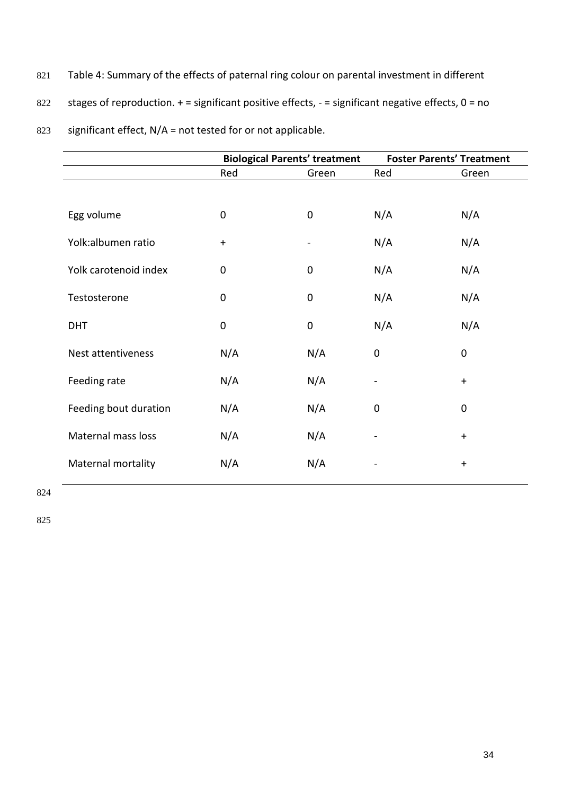- 821 Table 4: Summary of the effects of paternal ring colour on parental investment in different
- 822 stages of reproduction.  $+$  = significant positive effects,  $-$  = significant negative effects,  $0$  = no

| Red         | Green            | Red                          |             |
|-------------|------------------|------------------------------|-------------|
|             |                  |                              | Green       |
|             |                  |                              |             |
| $\mathbf 0$ | $\mathbf 0$      | N/A                          | N/A         |
| $\ddot{}$   |                  | N/A                          | N/A         |
| $\mathbf 0$ | 0                | N/A                          | N/A         |
| $\mathbf 0$ | $\mathbf 0$      | N/A                          | N/A         |
| $\mathbf 0$ | $\boldsymbol{0}$ | N/A                          | N/A         |
| N/A         | N/A              | $\mathbf 0$                  | $\mathbf 0$ |
| N/A         | N/A              | $\blacksquare$               | $\ddot{}$   |
| N/A         | N/A              | $\mathbf 0$                  | $\mathbf 0$ |
| N/A         | N/A              | $\qquad \qquad \blacksquare$ | $\ddot{}$   |
| N/A         | N/A              | $\overline{\phantom{0}}$     | $\ddot{}$   |
|             |                  |                              |             |

823 significant effect, N/A = not tested for or not applicable.

824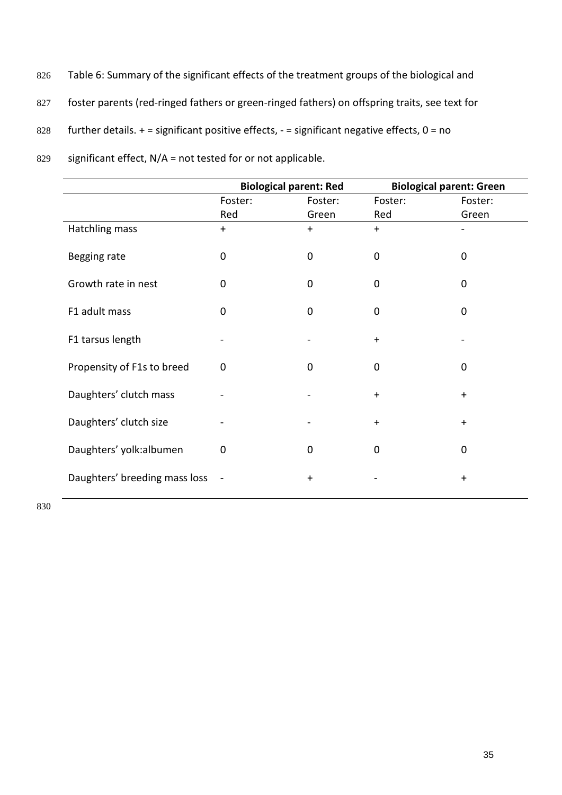- 826 Table 6: Summary of the significant effects of the treatment groups of the biological and
- 827 foster parents (red-ringed fathers or green-ringed fathers) on offspring traits, see text for
- 828 further details.  $+$  = significant positive effects,  $-$  = significant negative effects,  $0$  = no

|                               | <b>Biological parent: Red</b> |             | <b>Biological parent: Green</b> |             |
|-------------------------------|-------------------------------|-------------|---------------------------------|-------------|
|                               | Foster:                       | Foster:     | Foster:                         | Foster:     |
|                               | Red                           | Green       | Red                             | Green       |
| Hatchling mass                | $+$                           | $+$         | $+$                             |             |
| Begging rate                  | 0                             | $\mathbf 0$ | $\mathbf 0$                     | $\mathbf 0$ |
| Growth rate in nest           | $\Omega$                      | $\mathbf 0$ | $\Omega$                        | 0           |
| F1 adult mass                 | $\Omega$                      | $\mathbf 0$ | $\Omega$                        | $\Omega$    |
| F1 tarsus length              |                               |             | $+$                             |             |
| Propensity of F1s to breed    | 0                             | $\mathbf 0$ | $\mathbf 0$                     | $\mathbf 0$ |
| Daughters' clutch mass        |                               |             | $+$                             | $+$         |
| Daughters' clutch size        |                               |             | $+$                             | $+$         |
| Daughters' yolk:albumen       | $\Omega$                      | $\mathbf 0$ | 0                               | $\mathbf 0$ |
| Daughters' breeding mass loss | $\blacksquare$                | $+$         |                                 | $\ddot{}$   |

829 significant effect, N/A = not tested for or not applicable.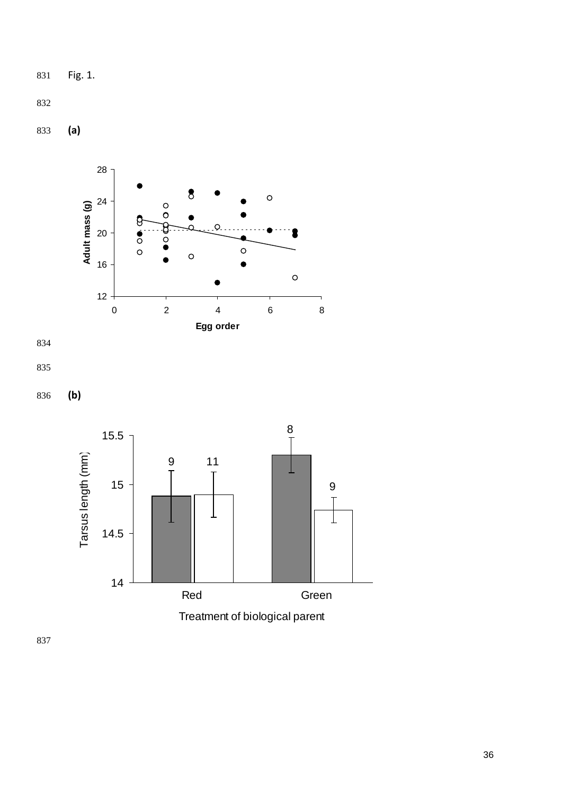Fig. 1.

**(a)**







**(b)**